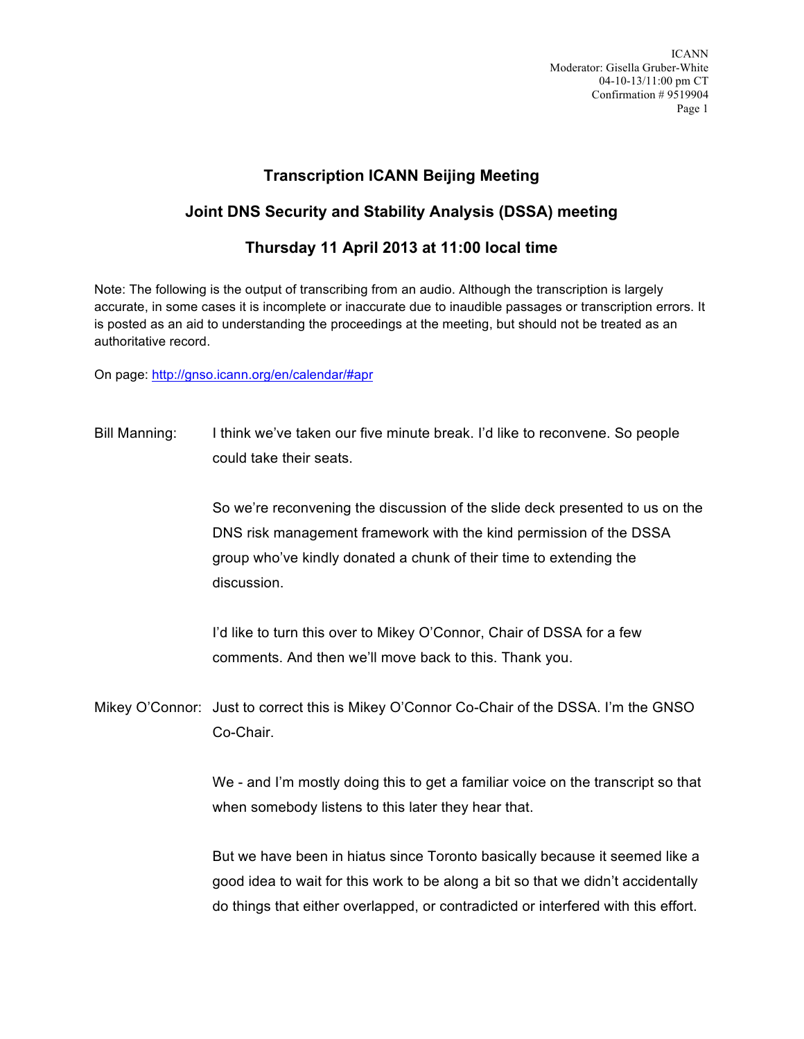ICANN Moderator: Gisella Gruber-White 04-10-13/11:00 pm CT Confirmation # 9519904 Page 1

## **Transcription ICANN Beijing Meeting**

## **Joint DNS Security and Stability Analysis (DSSA) meeting**

## **Thursday 11 April 2013 at 11:00 local time**

Note: The following is the output of transcribing from an audio. Although the transcription is largely accurate, in some cases it is incomplete or inaccurate due to inaudible passages or transcription errors. It is posted as an aid to understanding the proceedings at the meeting, but should not be treated as an authoritative record.

On page: http://gnso.icann.org/en/calendar/#apr

Bill Manning: I think we've taken our five minute break. I'd like to reconvene. So people could take their seats.

> So we're reconvening the discussion of the slide deck presented to us on the DNS risk management framework with the kind permission of the DSSA group who've kindly donated a chunk of their time to extending the discussion.

I'd like to turn this over to Mikey O'Connor, Chair of DSSA for a few comments. And then we'll move back to this. Thank you.

Mikey O'Connor: Just to correct this is Mikey O'Connor Co-Chair of the DSSA. I'm the GNSO Co-Chair.

> We - and I'm mostly doing this to get a familiar voice on the transcript so that when somebody listens to this later they hear that.

> But we have been in hiatus since Toronto basically because it seemed like a good idea to wait for this work to be along a bit so that we didn't accidentally do things that either overlapped, or contradicted or interfered with this effort.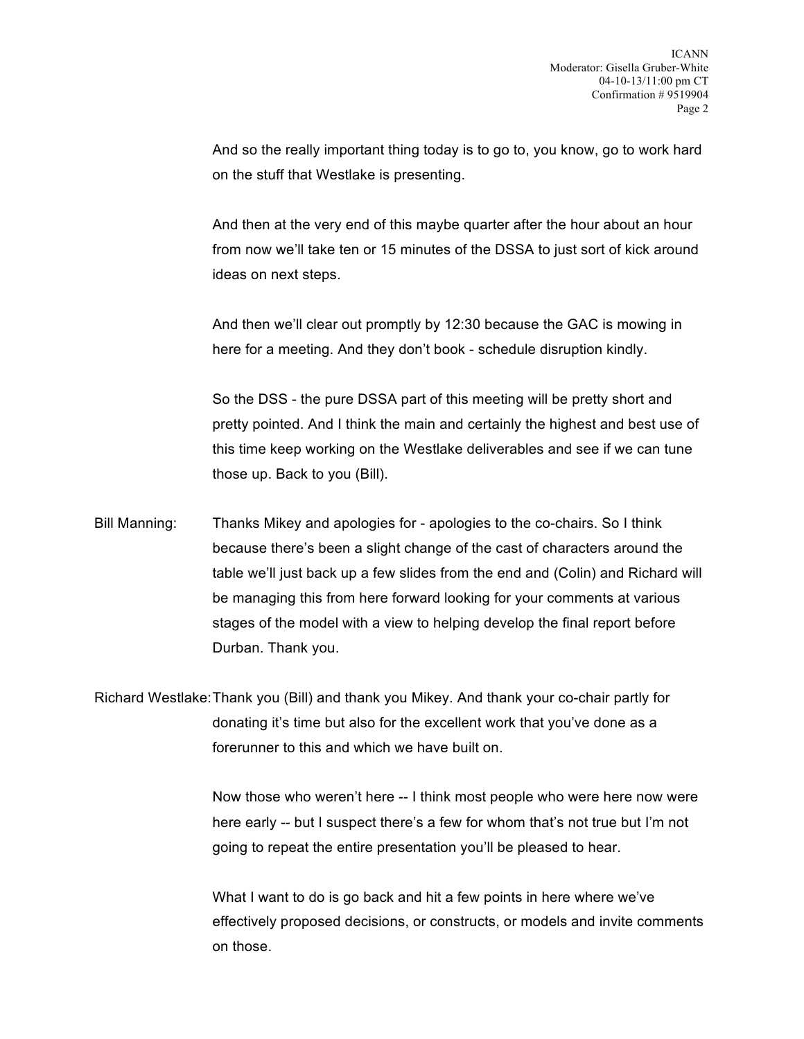And so the really important thing today is to go to, you know, go to work hard on the stuff that Westlake is presenting.

And then at the very end of this maybe quarter after the hour about an hour from now we'll take ten or 15 minutes of the DSSA to just sort of kick around ideas on next steps.

And then we'll clear out promptly by 12:30 because the GAC is mowing in here for a meeting. And they don't book - schedule disruption kindly.

So the DSS - the pure DSSA part of this meeting will be pretty short and pretty pointed. And I think the main and certainly the highest and best use of this time keep working on the Westlake deliverables and see if we can tune those up. Back to you (Bill).

Bill Manning: Thanks Mikey and apologies for - apologies to the co-chairs. So I think because there's been a slight change of the cast of characters around the table we'll just back up a few slides from the end and (Colin) and Richard will be managing this from here forward looking for your comments at various stages of the model with a view to helping develop the final report before Durban. Thank you.

Richard Westlake:Thank you (Bill) and thank you Mikey. And thank your co-chair partly for donating it's time but also for the excellent work that you've done as a forerunner to this and which we have built on.

> Now those who weren't here -- I think most people who were here now were here early -- but I suspect there's a few for whom that's not true but I'm not going to repeat the entire presentation you'll be pleased to hear.

What I want to do is go back and hit a few points in here where we've effectively proposed decisions, or constructs, or models and invite comments on those.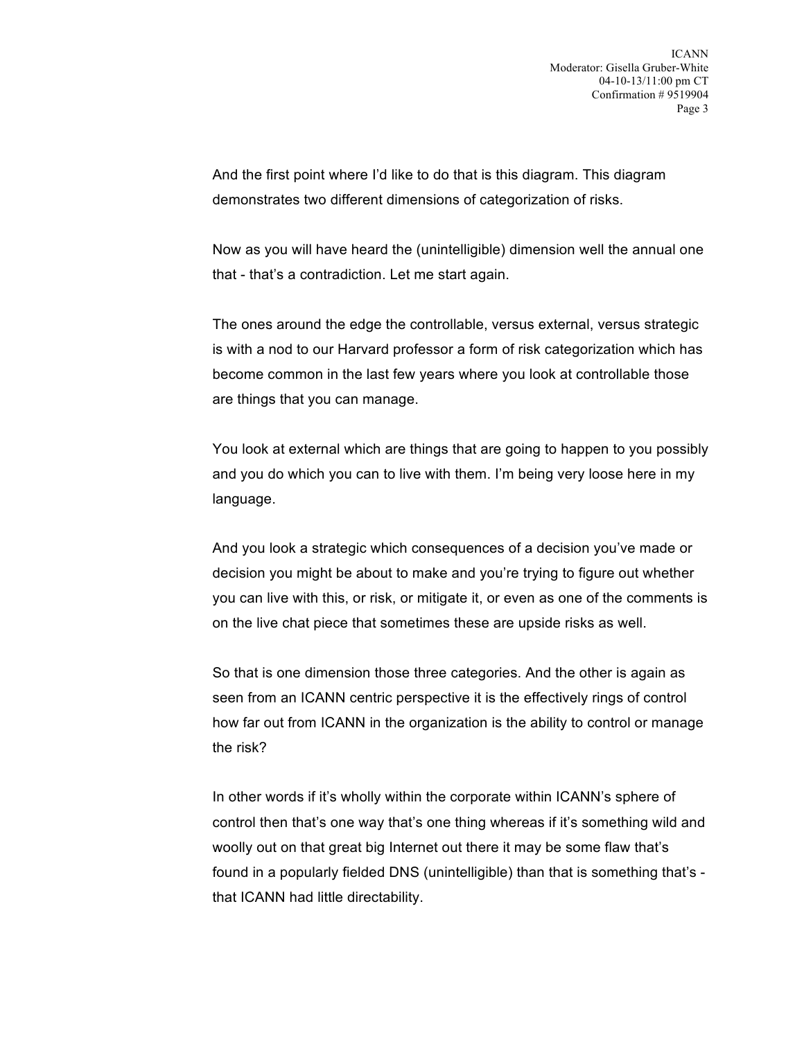And the first point where I'd like to do that is this diagram. This diagram demonstrates two different dimensions of categorization of risks.

Now as you will have heard the (unintelligible) dimension well the annual one that - that's a contradiction. Let me start again.

The ones around the edge the controllable, versus external, versus strategic is with a nod to our Harvard professor a form of risk categorization which has become common in the last few years where you look at controllable those are things that you can manage.

You look at external which are things that are going to happen to you possibly and you do which you can to live with them. I'm being very loose here in my language.

And you look a strategic which consequences of a decision you've made or decision you might be about to make and you're trying to figure out whether you can live with this, or risk, or mitigate it, or even as one of the comments is on the live chat piece that sometimes these are upside risks as well.

So that is one dimension those three categories. And the other is again as seen from an ICANN centric perspective it is the effectively rings of control how far out from ICANN in the organization is the ability to control or manage the risk?

In other words if it's wholly within the corporate within ICANN's sphere of control then that's one way that's one thing whereas if it's something wild and woolly out on that great big Internet out there it may be some flaw that's found in a popularly fielded DNS (unintelligible) than that is something that's that ICANN had little directability.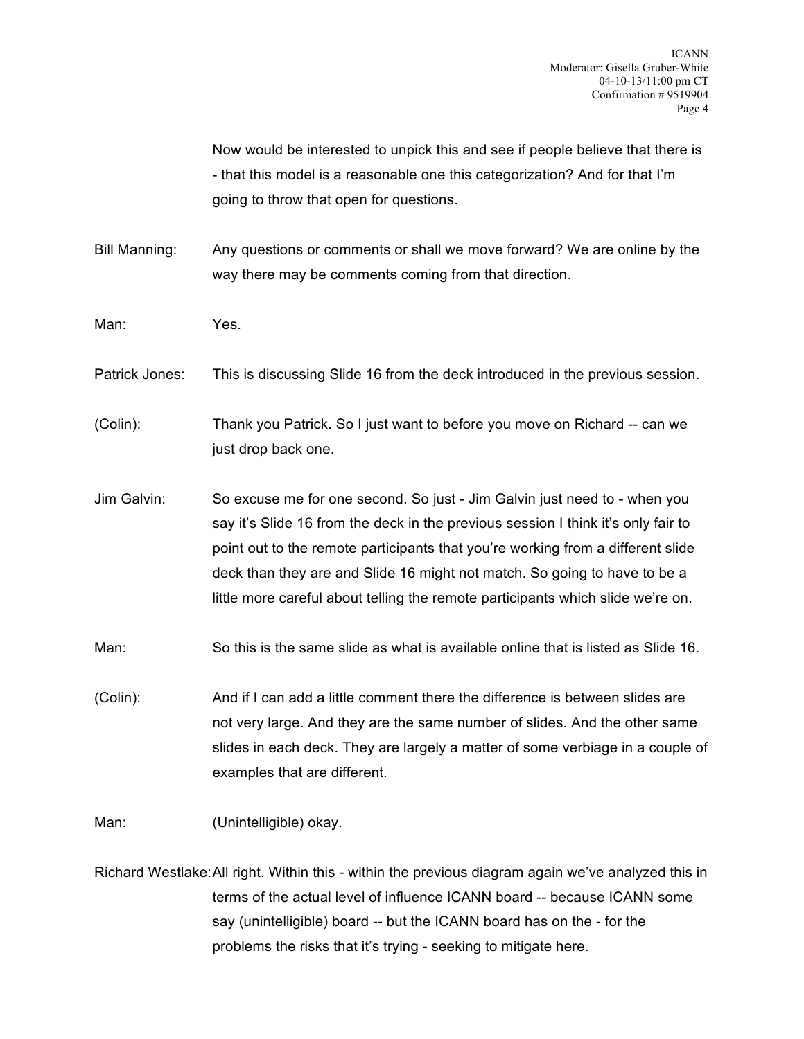Now would be interested to unpick this and see if people believe that there is - that this model is a reasonable one this categorization? And for that I'm going to throw that open for questions.

Bill Manning: Any questions or comments or shall we move forward? We are online by the way there may be comments coming from that direction.

Man: Yes.

Patrick Jones: This is discussing Slide 16 from the deck introduced in the previous session.

(Colin): Thank you Patrick. So I just want to before you move on Richard -- can we just drop back one.

Jim Galvin: So excuse me for one second. So just - Jim Galvin just need to - when you say it's Slide 16 from the deck in the previous session I think it's only fair to point out to the remote participants that you're working from a different slide deck than they are and Slide 16 might not match. So going to have to be a little more careful about telling the remote participants which slide we're on.

Man: So this is the same slide as what is available online that is listed as Slide 16.

(Colin): And if I can add a little comment there the difference is between slides are not very large. And they are the same number of slides. And the other same slides in each deck. They are largely a matter of some verbiage in a couple of examples that are different.

Man: (Unintelligible) okay.

Richard Westlake:All right. Within this - within the previous diagram again we've analyzed this in terms of the actual level of influence ICANN board -- because ICANN some say (unintelligible) board -- but the ICANN board has on the - for the problems the risks that it's trying - seeking to mitigate here.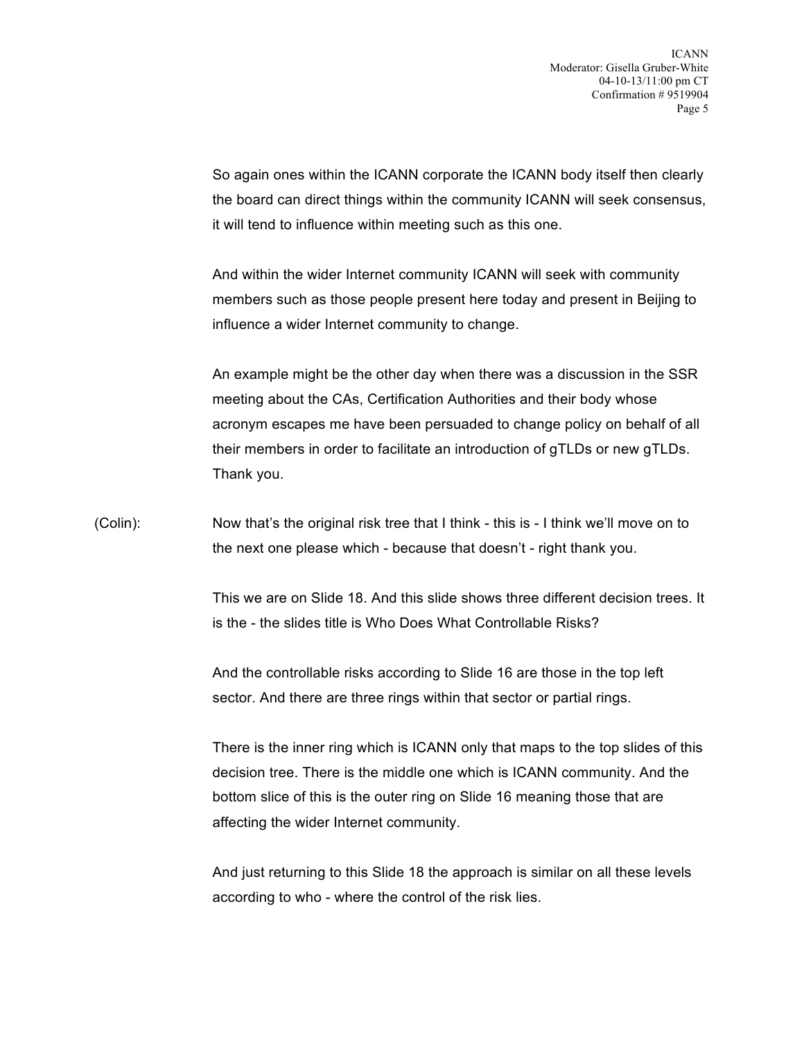So again ones within the ICANN corporate the ICANN body itself then clearly the board can direct things within the community ICANN will seek consensus, it will tend to influence within meeting such as this one.

And within the wider Internet community ICANN will seek with community members such as those people present here today and present in Beijing to influence a wider Internet community to change.

An example might be the other day when there was a discussion in the SSR meeting about the CAs, Certification Authorities and their body whose acronym escapes me have been persuaded to change policy on behalf of all their members in order to facilitate an introduction of gTLDs or new gTLDs. Thank you.

(Colin): Now that's the original risk tree that I think - this is - I think we'll move on to the next one please which - because that doesn't - right thank you.

> This we are on Slide 18. And this slide shows three different decision trees. It is the - the slides title is Who Does What Controllable Risks?

And the controllable risks according to Slide 16 are those in the top left sector. And there are three rings within that sector or partial rings.

There is the inner ring which is ICANN only that maps to the top slides of this decision tree. There is the middle one which is ICANN community. And the bottom slice of this is the outer ring on Slide 16 meaning those that are affecting the wider Internet community.

And just returning to this Slide 18 the approach is similar on all these levels according to who - where the control of the risk lies.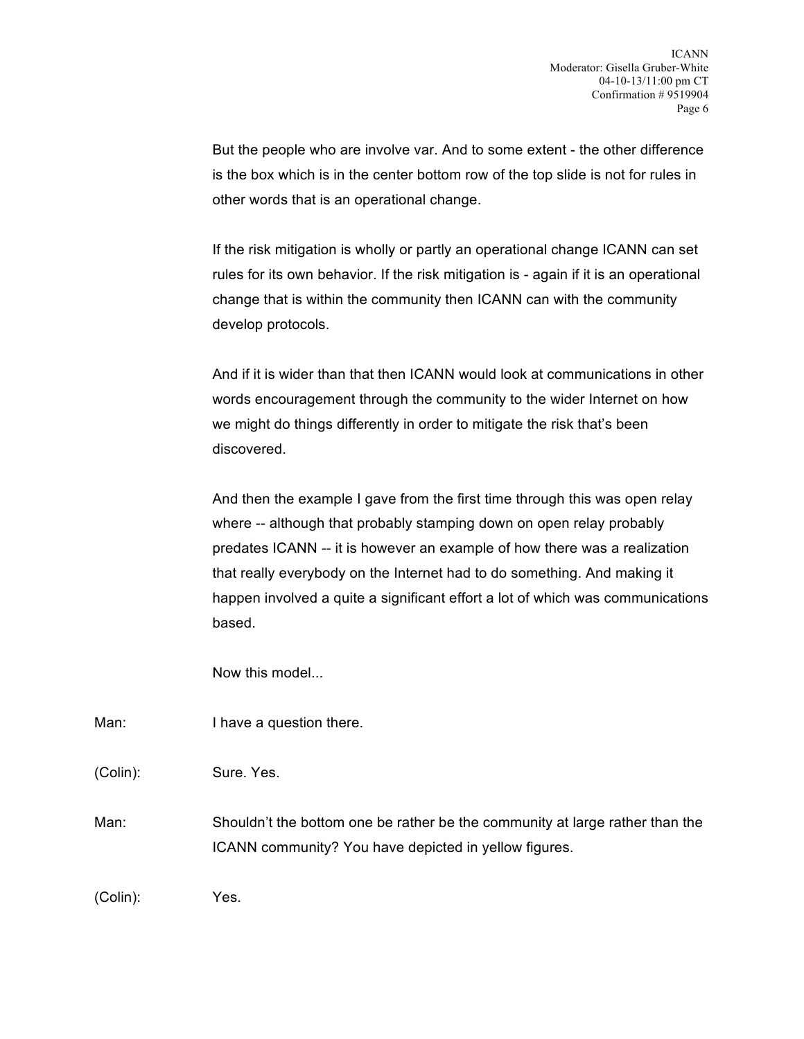But the people who are involve var. And to some extent - the other difference is the box which is in the center bottom row of the top slide is not for rules in other words that is an operational change.

If the risk mitigation is wholly or partly an operational change ICANN can set rules for its own behavior. If the risk mitigation is - again if it is an operational change that is within the community then ICANN can with the community develop protocols.

And if it is wider than that then ICANN would look at communications in other words encouragement through the community to the wider Internet on how we might do things differently in order to mitigate the risk that's been discovered.

And then the example I gave from the first time through this was open relay where -- although that probably stamping down on open relay probably predates ICANN -- it is however an example of how there was a realization that really everybody on the Internet had to do something. And making it happen involved a quite a significant effort a lot of which was communications based.

Now this model...

Man: I have a question there.

(Colin): Sure. Yes.

Man: Shouldn't the bottom one be rather be the community at large rather than the ICANN community? You have depicted in yellow figures.

(Colin): Yes.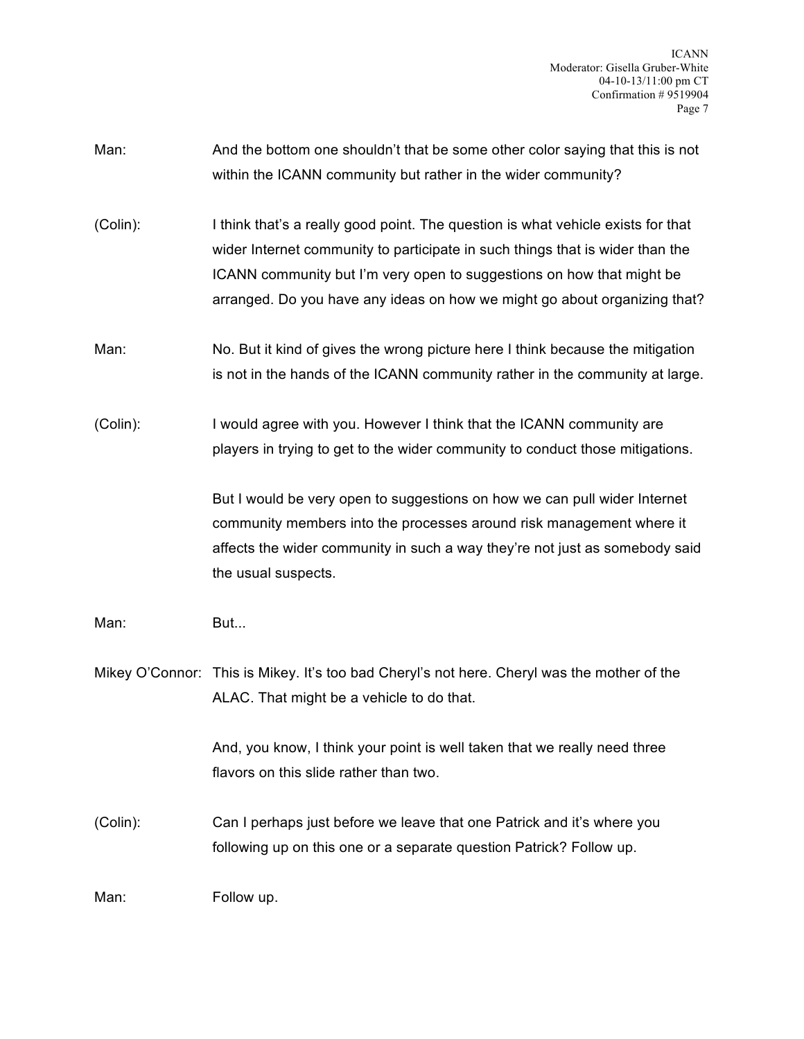ICANN Moderator: Gisella Gruber-White 04-10-13/11:00 pm CT Confirmation # 9519904 Page 7

- Man: And the bottom one shouldn't that be some other color saying that this is not within the ICANN community but rather in the wider community?
- (Colin): I think that's a really good point. The question is what vehicle exists for that wider Internet community to participate in such things that is wider than the ICANN community but I'm very open to suggestions on how that might be arranged. Do you have any ideas on how we might go about organizing that?
- Man: No. But it kind of gives the wrong picture here I think because the mitigation is not in the hands of the ICANN community rather in the community at large.
- (Colin): I would agree with you. However I think that the ICANN community are players in trying to get to the wider community to conduct those mitigations.

But I would be very open to suggestions on how we can pull wider Internet community members into the processes around risk management where it affects the wider community in such a way they're not just as somebody said the usual suspects.

- Man: But...
- Mikey O'Connor: This is Mikey. It's too bad Cheryl's not here. Cheryl was the mother of the ALAC. That might be a vehicle to do that.

And, you know, I think your point is well taken that we really need three flavors on this slide rather than two.

(Colin): Can I perhaps just before we leave that one Patrick and it's where you following up on this one or a separate question Patrick? Follow up.

Man: Follow up.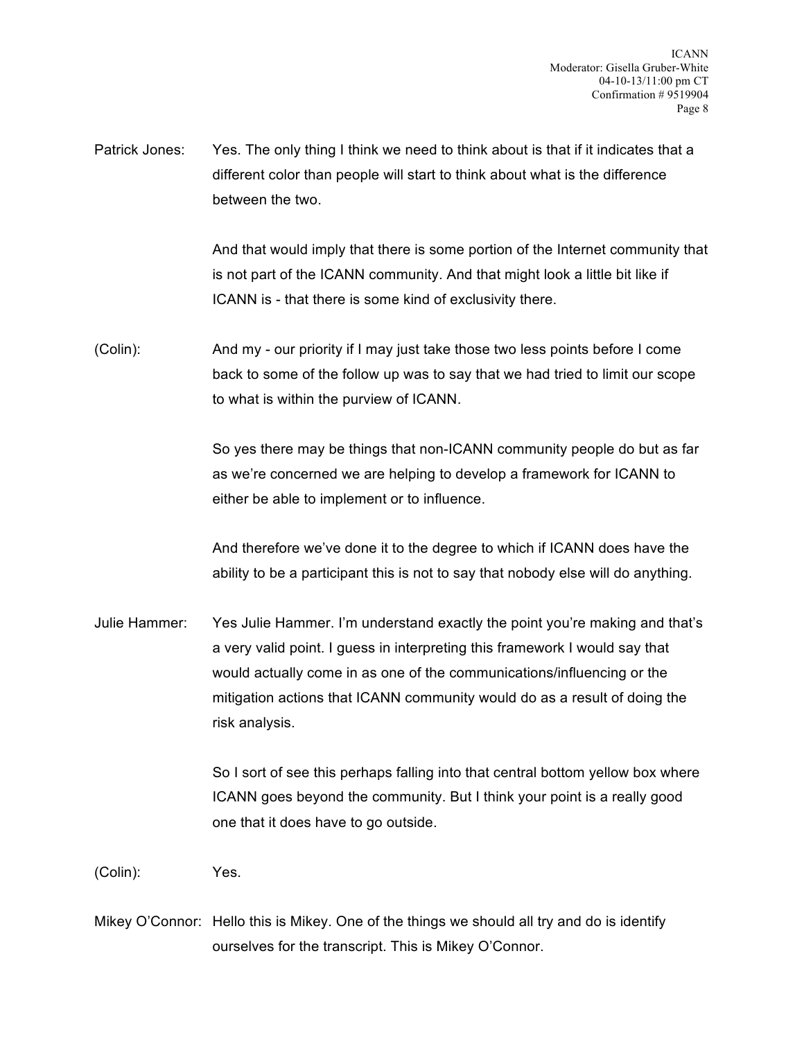Patrick Jones: Yes. The only thing I think we need to think about is that if it indicates that a different color than people will start to think about what is the difference between the two.

> And that would imply that there is some portion of the Internet community that is not part of the ICANN community. And that might look a little bit like if ICANN is - that there is some kind of exclusivity there.

(Colin): And my - our priority if I may just take those two less points before I come back to some of the follow up was to say that we had tried to limit our scope to what is within the purview of ICANN.

> So yes there may be things that non-ICANN community people do but as far as we're concerned we are helping to develop a framework for ICANN to either be able to implement or to influence.

And therefore we've done it to the degree to which if ICANN does have the ability to be a participant this is not to say that nobody else will do anything.

Julie Hammer: Yes Julie Hammer. I'm understand exactly the point you're making and that's a very valid point. I guess in interpreting this framework I would say that would actually come in as one of the communications/influencing or the mitigation actions that ICANN community would do as a result of doing the risk analysis.

> So I sort of see this perhaps falling into that central bottom yellow box where ICANN goes beyond the community. But I think your point is a really good one that it does have to go outside.

(Colin): Yes.

Mikey O'Connor: Hello this is Mikey. One of the things we should all try and do is identify ourselves for the transcript. This is Mikey O'Connor.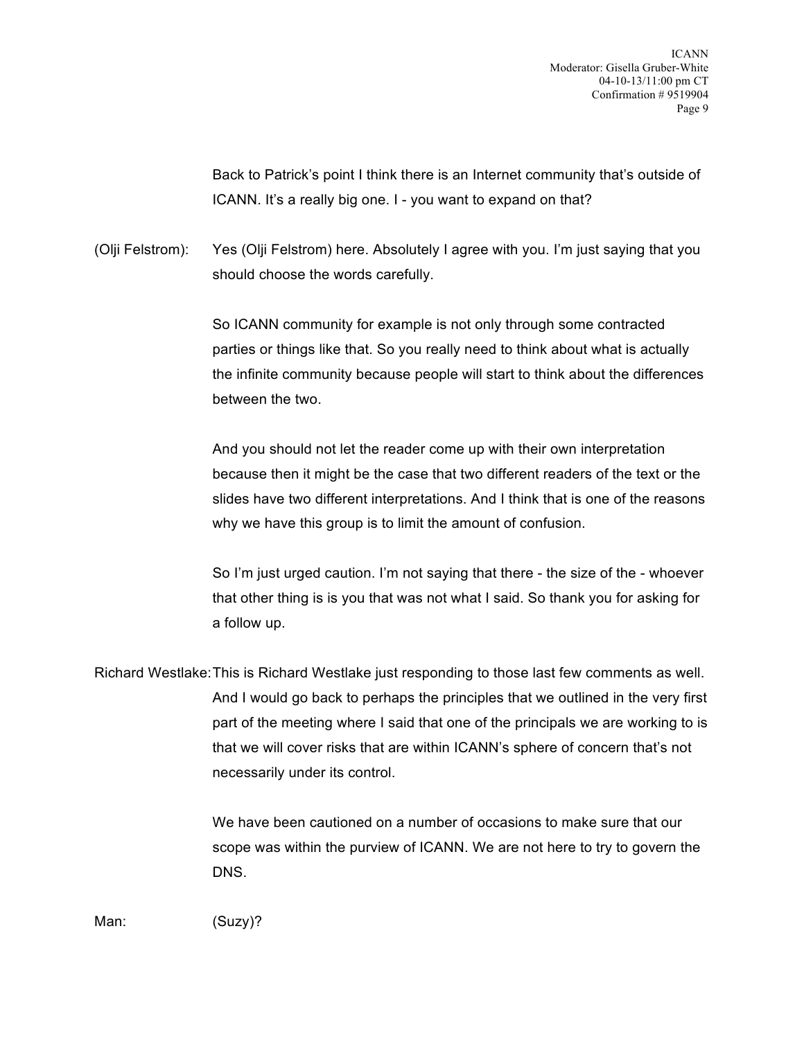Back to Patrick's point I think there is an Internet community that's outside of ICANN. It's a really big one. I - you want to expand on that?

(Olji Felstrom): Yes (Olji Felstrom) here. Absolutely I agree with you. I'm just saying that you should choose the words carefully.

> So ICANN community for example is not only through some contracted parties or things like that. So you really need to think about what is actually the infinite community because people will start to think about the differences between the two.

> And you should not let the reader come up with their own interpretation because then it might be the case that two different readers of the text or the slides have two different interpretations. And I think that is one of the reasons why we have this group is to limit the amount of confusion.

> So I'm just urged caution. I'm not saying that there - the size of the - whoever that other thing is is you that was not what I said. So thank you for asking for a follow up.

Richard Westlake:This is Richard Westlake just responding to those last few comments as well. And I would go back to perhaps the principles that we outlined in the very first part of the meeting where I said that one of the principals we are working to is that we will cover risks that are within ICANN's sphere of concern that's not necessarily under its control.

> We have been cautioned on a number of occasions to make sure that our scope was within the purview of ICANN. We are not here to try to govern the DNS.

Man: (Suzy)?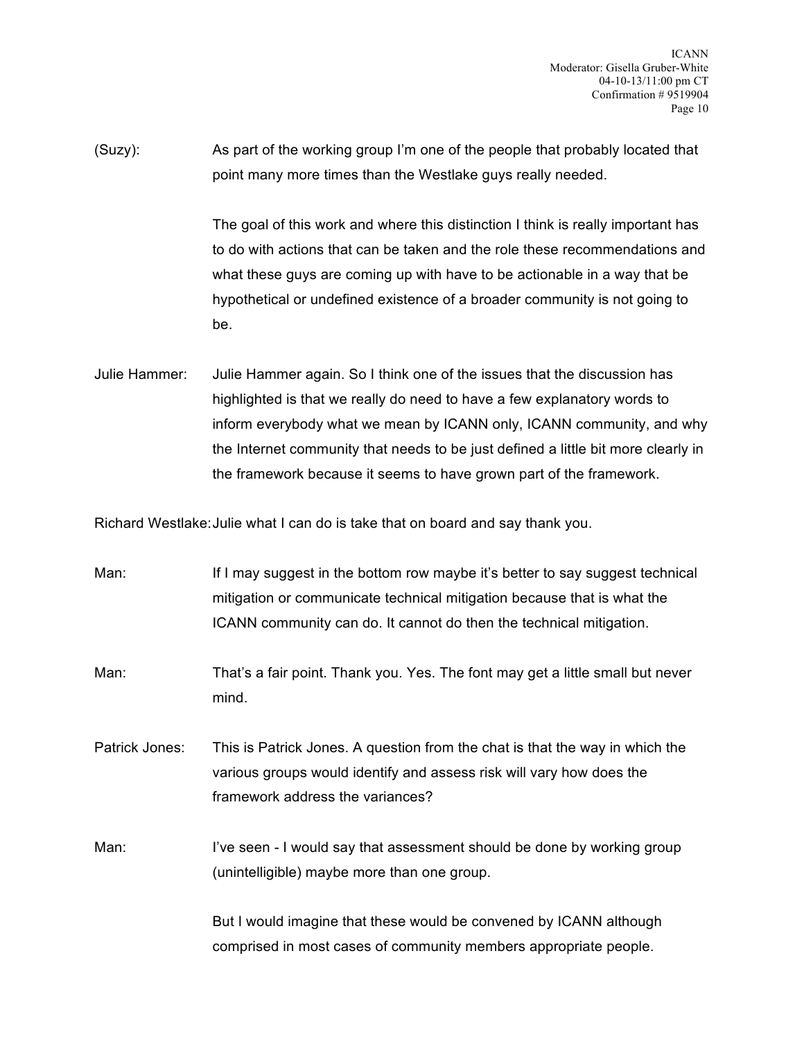(Suzy): As part of the working group I'm one of the people that probably located that point many more times than the Westlake guys really needed.

> The goal of this work and where this distinction I think is really important has to do with actions that can be taken and the role these recommendations and what these guys are coming up with have to be actionable in a way that be hypothetical or undefined existence of a broader community is not going to be.

Julie Hammer: Julie Hammer again. So I think one of the issues that the discussion has highlighted is that we really do need to have a few explanatory words to inform everybody what we mean by ICANN only, ICANN community, and why the Internet community that needs to be just defined a little bit more clearly in the framework because it seems to have grown part of the framework.

Richard Westlake:Julie what I can do is take that on board and say thank you.

| Man:           | If I may suggest in the bottom row maybe it's better to say suggest technical<br>mitigation or communicate technical mitigation because that is what the<br>ICANN community can do. It cannot do then the technical mitigation. |
|----------------|---------------------------------------------------------------------------------------------------------------------------------------------------------------------------------------------------------------------------------|
| Man:           | That's a fair point. Thank you. Yes. The font may get a little small but never<br>mind.                                                                                                                                         |
| Patrick Jones: | This is Patrick Jones. A question from the chat is that the way in which the<br>various groups would identify and assess risk will vary how does the<br>framework address the variances?                                        |
| Man:           | I've seen - I would say that assessment should be done by working group<br>(unintelligible) maybe more than one group.                                                                                                          |
|                | But I would imagine that these would be convened by ICANN although                                                                                                                                                              |

comprised in most cases of community members appropriate people.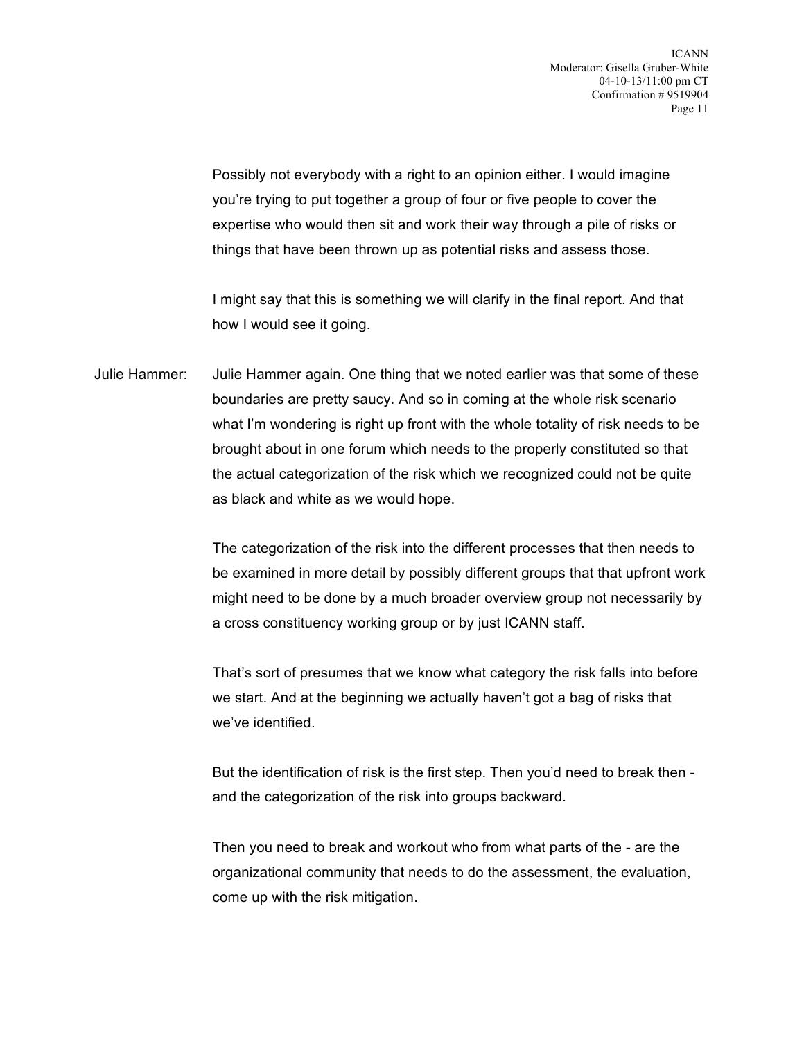Possibly not everybody with a right to an opinion either. I would imagine you're trying to put together a group of four or five people to cover the expertise who would then sit and work their way through a pile of risks or things that have been thrown up as potential risks and assess those.

I might say that this is something we will clarify in the final report. And that how I would see it going.

Julie Hammer: Julie Hammer again. One thing that we noted earlier was that some of these boundaries are pretty saucy. And so in coming at the whole risk scenario what I'm wondering is right up front with the whole totality of risk needs to be brought about in one forum which needs to the properly constituted so that the actual categorization of the risk which we recognized could not be quite as black and white as we would hope.

> The categorization of the risk into the different processes that then needs to be examined in more detail by possibly different groups that that upfront work might need to be done by a much broader overview group not necessarily by a cross constituency working group or by just ICANN staff.

That's sort of presumes that we know what category the risk falls into before we start. And at the beginning we actually haven't got a bag of risks that we've identified.

But the identification of risk is the first step. Then you'd need to break then and the categorization of the risk into groups backward.

Then you need to break and workout who from what parts of the - are the organizational community that needs to do the assessment, the evaluation, come up with the risk mitigation.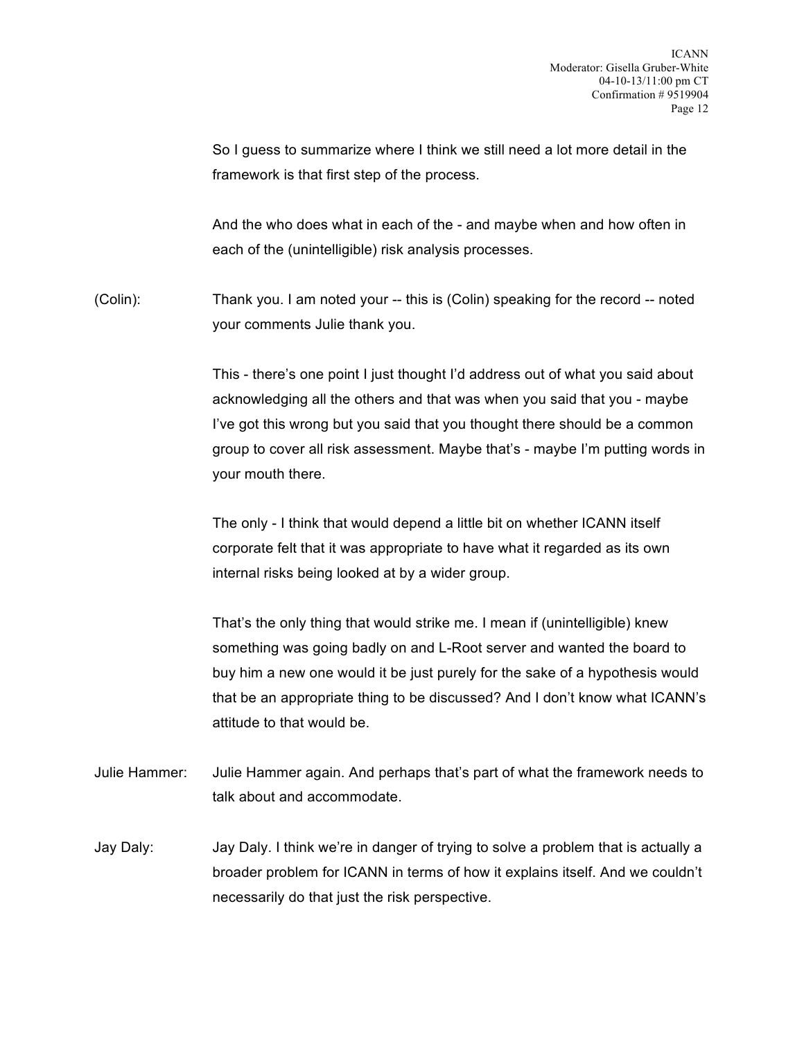So I guess to summarize where I think we still need a lot more detail in the framework is that first step of the process.

And the who does what in each of the - and maybe when and how often in each of the (unintelligible) risk analysis processes.

(Colin): Thank you. I am noted your -- this is (Colin) speaking for the record -- noted your comments Julie thank you.

> This - there's one point I just thought I'd address out of what you said about acknowledging all the others and that was when you said that you - maybe I've got this wrong but you said that you thought there should be a common group to cover all risk assessment. Maybe that's - maybe I'm putting words in your mouth there.

The only - I think that would depend a little bit on whether ICANN itself corporate felt that it was appropriate to have what it regarded as its own internal risks being looked at by a wider group.

That's the only thing that would strike me. I mean if (unintelligible) knew something was going badly on and L-Root server and wanted the board to buy him a new one would it be just purely for the sake of a hypothesis would that be an appropriate thing to be discussed? And I don't know what ICANN's attitude to that would be.

- Julie Hammer: Julie Hammer again. And perhaps that's part of what the framework needs to talk about and accommodate.
- Jay Daly: Jay Daly. I think we're in danger of trying to solve a problem that is actually a broader problem for ICANN in terms of how it explains itself. And we couldn't necessarily do that just the risk perspective.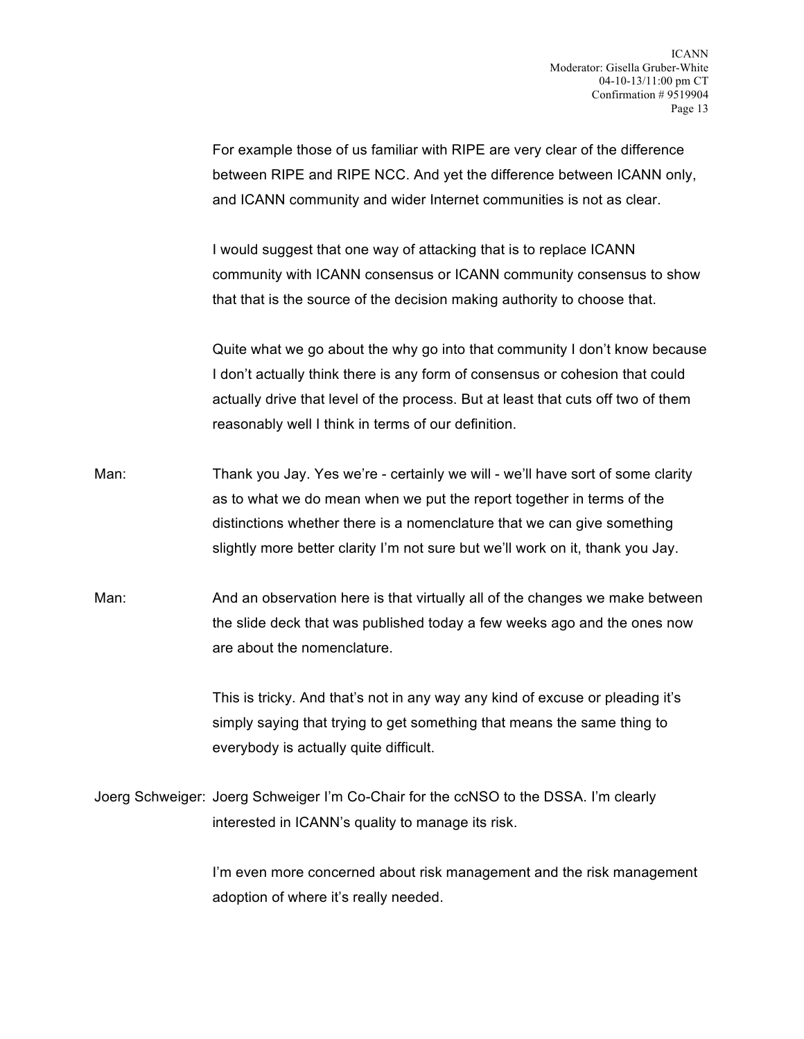For example those of us familiar with RIPE are very clear of the difference between RIPE and RIPE NCC. And yet the difference between ICANN only, and ICANN community and wider Internet communities is not as clear.

I would suggest that one way of attacking that is to replace ICANN community with ICANN consensus or ICANN community consensus to show that that is the source of the decision making authority to choose that.

Quite what we go about the why go into that community I don't know because I don't actually think there is any form of consensus or cohesion that could actually drive that level of the process. But at least that cuts off two of them reasonably well I think in terms of our definition.

- Man: Thank you Jay. Yes we're certainly we will we'll have sort of some clarity as to what we do mean when we put the report together in terms of the distinctions whether there is a nomenclature that we can give something slightly more better clarity I'm not sure but we'll work on it, thank you Jay.
- Man: And an observation here is that virtually all of the changes we make between the slide deck that was published today a few weeks ago and the ones now are about the nomenclature.

This is tricky. And that's not in any way any kind of excuse or pleading it's simply saying that trying to get something that means the same thing to everybody is actually quite difficult.

Joerg Schweiger: Joerg Schweiger I'm Co-Chair for the ccNSO to the DSSA. I'm clearly interested in ICANN's quality to manage its risk.

> I'm even more concerned about risk management and the risk management adoption of where it's really needed.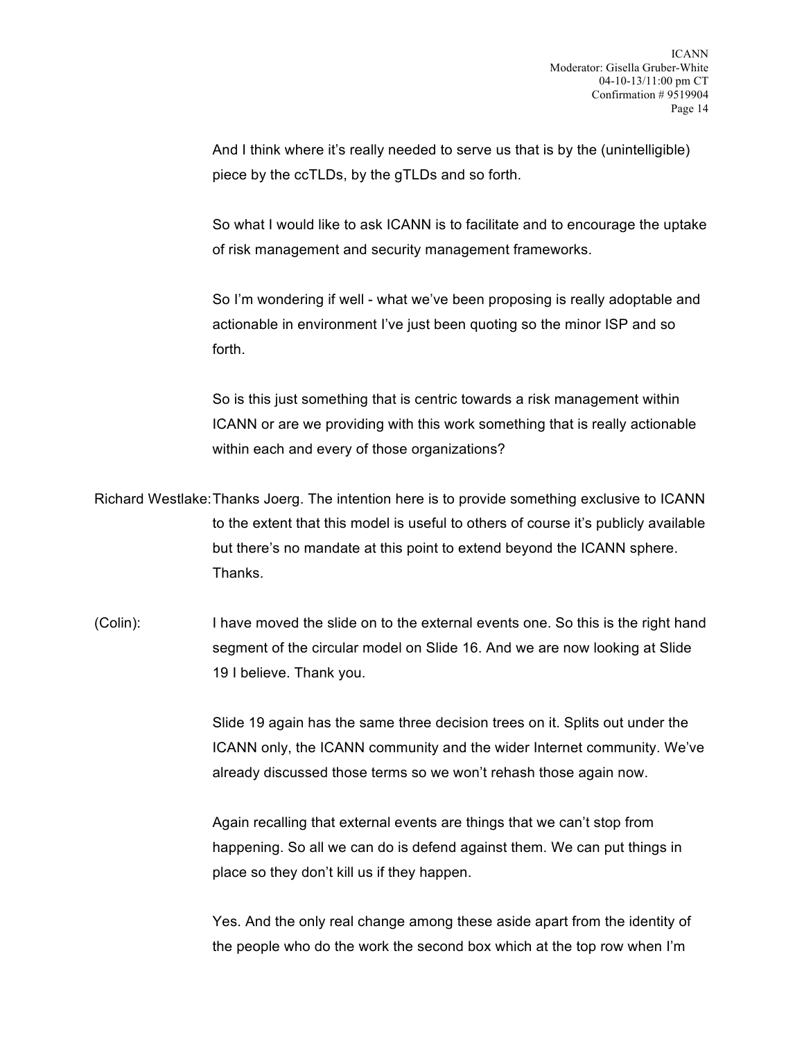And I think where it's really needed to serve us that is by the (unintelligible) piece by the ccTLDs, by the gTLDs and so forth.

So what I would like to ask ICANN is to facilitate and to encourage the uptake of risk management and security management frameworks.

So I'm wondering if well - what we've been proposing is really adoptable and actionable in environment I've just been quoting so the minor ISP and so forth.

So is this just something that is centric towards a risk management within ICANN or are we providing with this work something that is really actionable within each and every of those organizations?

Richard Westlake:Thanks Joerg. The intention here is to provide something exclusive to ICANN to the extent that this model is useful to others of course it's publicly available but there's no mandate at this point to extend beyond the ICANN sphere. Thanks.

(Colin): I have moved the slide on to the external events one. So this is the right hand segment of the circular model on Slide 16. And we are now looking at Slide 19 I believe. Thank you.

> Slide 19 again has the same three decision trees on it. Splits out under the ICANN only, the ICANN community and the wider Internet community. We've already discussed those terms so we won't rehash those again now.

Again recalling that external events are things that we can't stop from happening. So all we can do is defend against them. We can put things in place so they don't kill us if they happen.

Yes. And the only real change among these aside apart from the identity of the people who do the work the second box which at the top row when I'm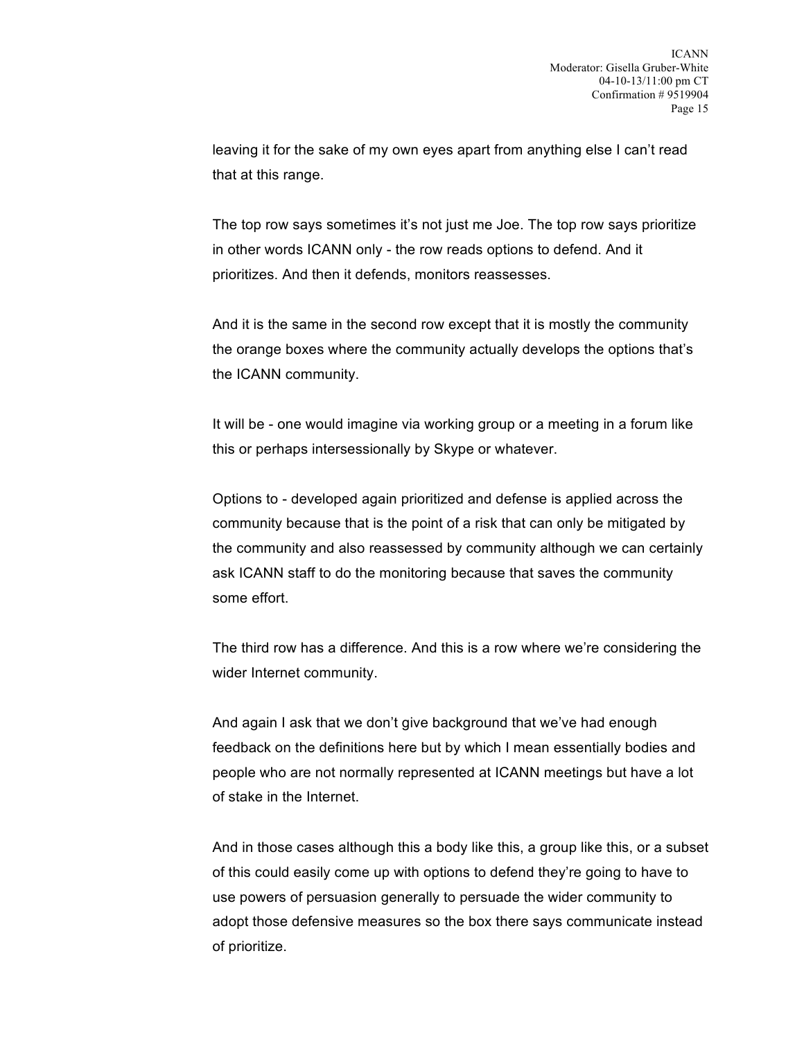leaving it for the sake of my own eyes apart from anything else I can't read that at this range.

The top row says sometimes it's not just me Joe. The top row says prioritize in other words ICANN only - the row reads options to defend. And it prioritizes. And then it defends, monitors reassesses.

And it is the same in the second row except that it is mostly the community the orange boxes where the community actually develops the options that's the ICANN community.

It will be - one would imagine via working group or a meeting in a forum like this or perhaps intersessionally by Skype or whatever.

Options to - developed again prioritized and defense is applied across the community because that is the point of a risk that can only be mitigated by the community and also reassessed by community although we can certainly ask ICANN staff to do the monitoring because that saves the community some effort.

The third row has a difference. And this is a row where we're considering the wider Internet community.

And again I ask that we don't give background that we've had enough feedback on the definitions here but by which I mean essentially bodies and people who are not normally represented at ICANN meetings but have a lot of stake in the Internet.

And in those cases although this a body like this, a group like this, or a subset of this could easily come up with options to defend they're going to have to use powers of persuasion generally to persuade the wider community to adopt those defensive measures so the box there says communicate instead of prioritize.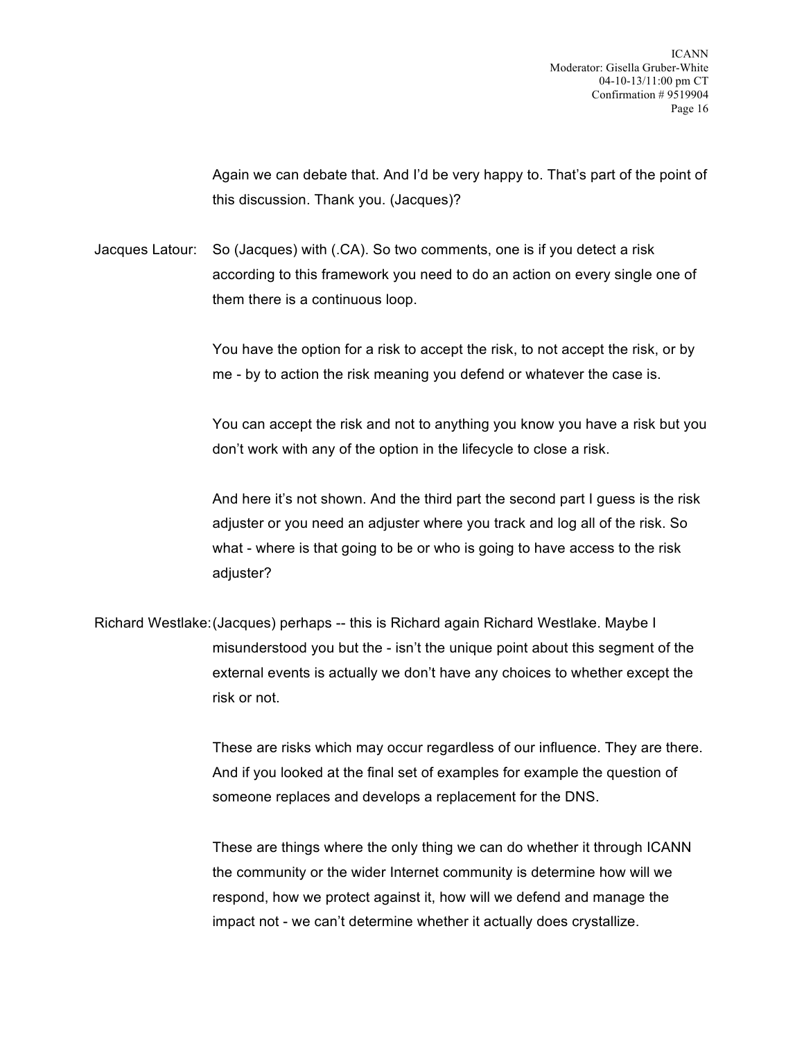Again we can debate that. And I'd be very happy to. That's part of the point of this discussion. Thank you. (Jacques)?

Jacques Latour: So (Jacques) with (.CA). So two comments, one is if you detect a risk according to this framework you need to do an action on every single one of them there is a continuous loop.

> You have the option for a risk to accept the risk, to not accept the risk, or by me - by to action the risk meaning you defend or whatever the case is.

You can accept the risk and not to anything you know you have a risk but you don't work with any of the option in the lifecycle to close a risk.

And here it's not shown. And the third part the second part I guess is the risk adjuster or you need an adjuster where you track and log all of the risk. So what - where is that going to be or who is going to have access to the risk adjuster?

Richard Westlake:(Jacques) perhaps -- this is Richard again Richard Westlake. Maybe I misunderstood you but the - isn't the unique point about this segment of the external events is actually we don't have any choices to whether except the risk or not.

> These are risks which may occur regardless of our influence. They are there. And if you looked at the final set of examples for example the question of someone replaces and develops a replacement for the DNS.

These are things where the only thing we can do whether it through ICANN the community or the wider Internet community is determine how will we respond, how we protect against it, how will we defend and manage the impact not - we can't determine whether it actually does crystallize.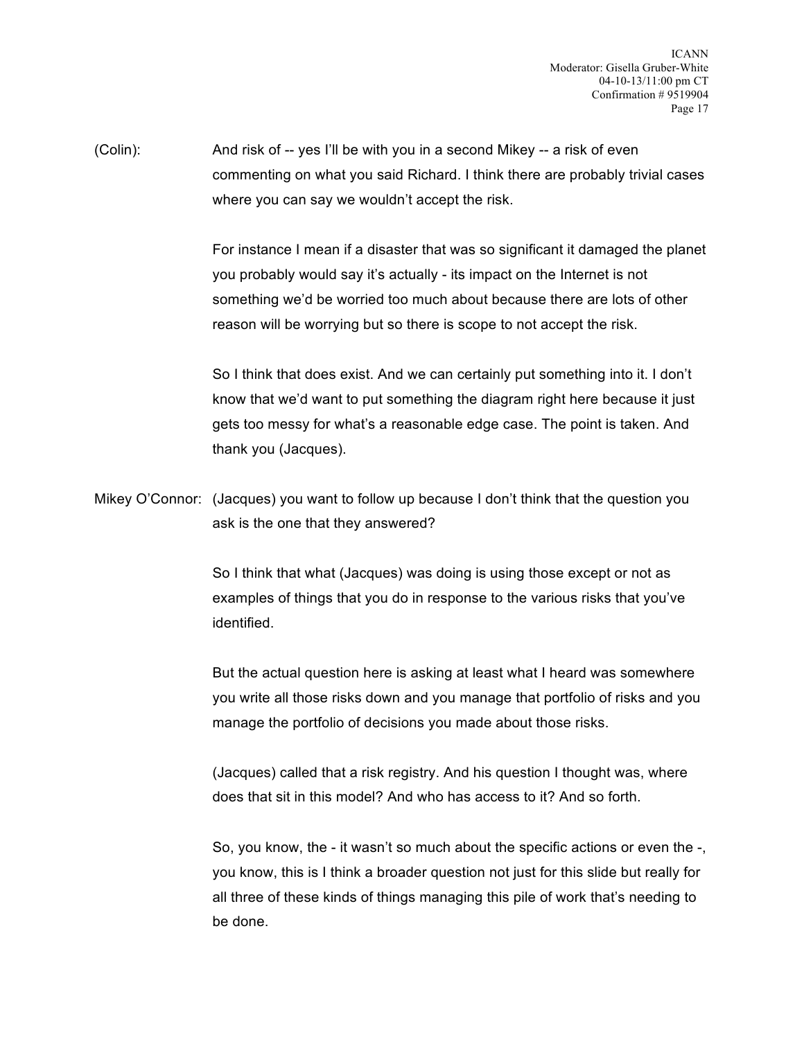(Colin): And risk of -- yes I'll be with you in a second Mikey -- a risk of even commenting on what you said Richard. I think there are probably trivial cases where you can say we wouldn't accept the risk.

> For instance I mean if a disaster that was so significant it damaged the planet you probably would say it's actually - its impact on the Internet is not something we'd be worried too much about because there are lots of other reason will be worrying but so there is scope to not accept the risk.

So I think that does exist. And we can certainly put something into it. I don't know that we'd want to put something the diagram right here because it just gets too messy for what's a reasonable edge case. The point is taken. And thank you (Jacques).

Mikey O'Connor: (Jacques) you want to follow up because I don't think that the question you ask is the one that they answered?

> So I think that what (Jacques) was doing is using those except or not as examples of things that you do in response to the various risks that you've identified.

But the actual question here is asking at least what I heard was somewhere you write all those risks down and you manage that portfolio of risks and you manage the portfolio of decisions you made about those risks.

(Jacques) called that a risk registry. And his question I thought was, where does that sit in this model? And who has access to it? And so forth.

So, you know, the - it wasn't so much about the specific actions or even the -, you know, this is I think a broader question not just for this slide but really for all three of these kinds of things managing this pile of work that's needing to be done.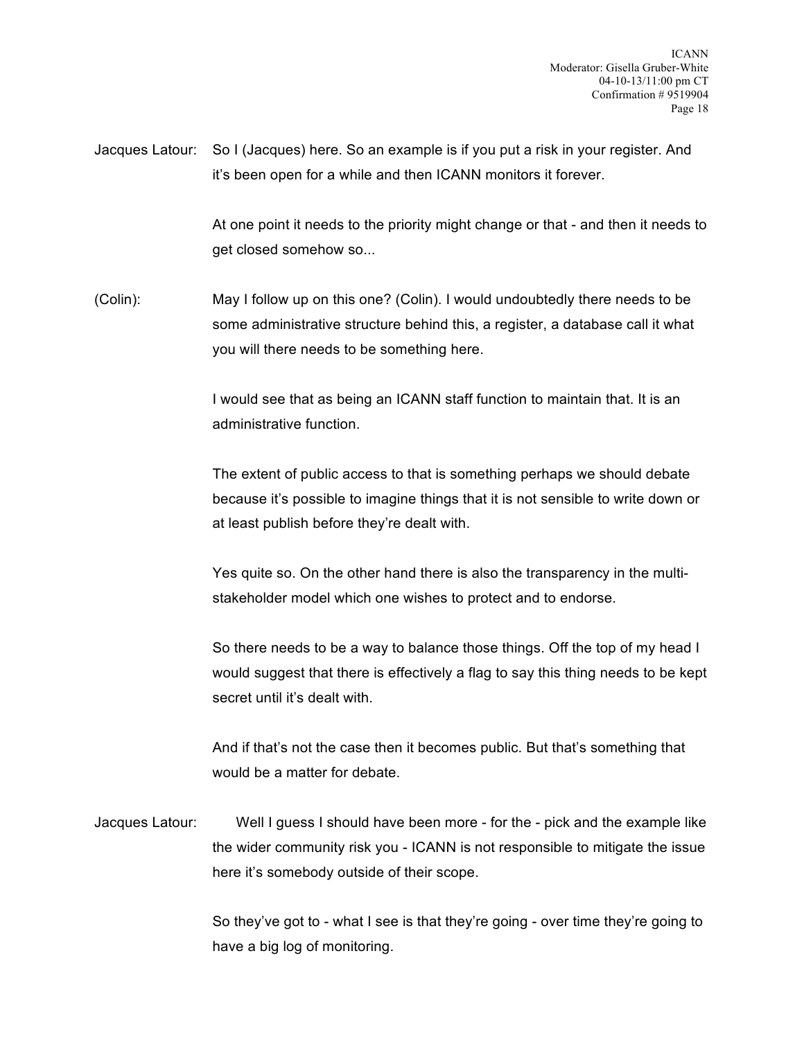Jacques Latour: So I (Jacques) here. So an example is if you put a risk in your register. And it's been open for a while and then ICANN monitors it forever.

> At one point it needs to the priority might change or that - and then it needs to get closed somehow so...

(Colin): May I follow up on this one? (Colin). I would undoubtedly there needs to be some administrative structure behind this, a register, a database call it what you will there needs to be something here.

> I would see that as being an ICANN staff function to maintain that. It is an administrative function.

The extent of public access to that is something perhaps we should debate because it's possible to imagine things that it is not sensible to write down or at least publish before they're dealt with.

Yes quite so. On the other hand there is also the transparency in the multistakeholder model which one wishes to protect and to endorse.

So there needs to be a way to balance those things. Off the top of my head I would suggest that there is effectively a flag to say this thing needs to be kept secret until it's dealt with.

And if that's not the case then it becomes public. But that's something that would be a matter for debate.

Jacques Latour: Well I guess I should have been more - for the - pick and the example like the wider community risk you - ICANN is not responsible to mitigate the issue here it's somebody outside of their scope.

> So they've got to - what I see is that they're going - over time they're going to have a big log of monitoring.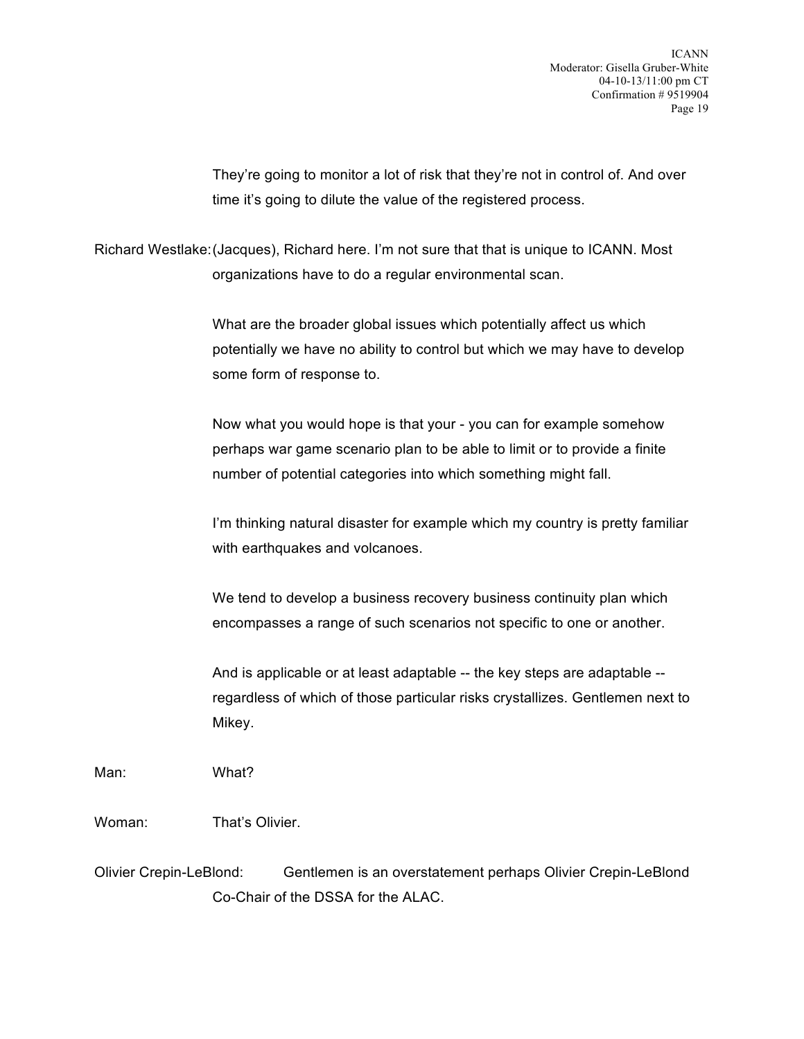They're going to monitor a lot of risk that they're not in control of. And over time it's going to dilute the value of the registered process.

Richard Westlake:(Jacques), Richard here. I'm not sure that that is unique to ICANN. Most organizations have to do a regular environmental scan.

> What are the broader global issues which potentially affect us which potentially we have no ability to control but which we may have to develop some form of response to.

Now what you would hope is that your - you can for example somehow perhaps war game scenario plan to be able to limit or to provide a finite number of potential categories into which something might fall.

I'm thinking natural disaster for example which my country is pretty familiar with earthquakes and volcanoes.

We tend to develop a business recovery business continuity plan which encompasses a range of such scenarios not specific to one or another.

And is applicable or at least adaptable -- the key steps are adaptable - regardless of which of those particular risks crystallizes. Gentlemen next to Mikey.

Man: What?

Woman: That's Olivier.

Olivier Crepin-LeBlond: Gentlemen is an overstatement perhaps Olivier Crepin-LeBlond Co-Chair of the DSSA for the ALAC.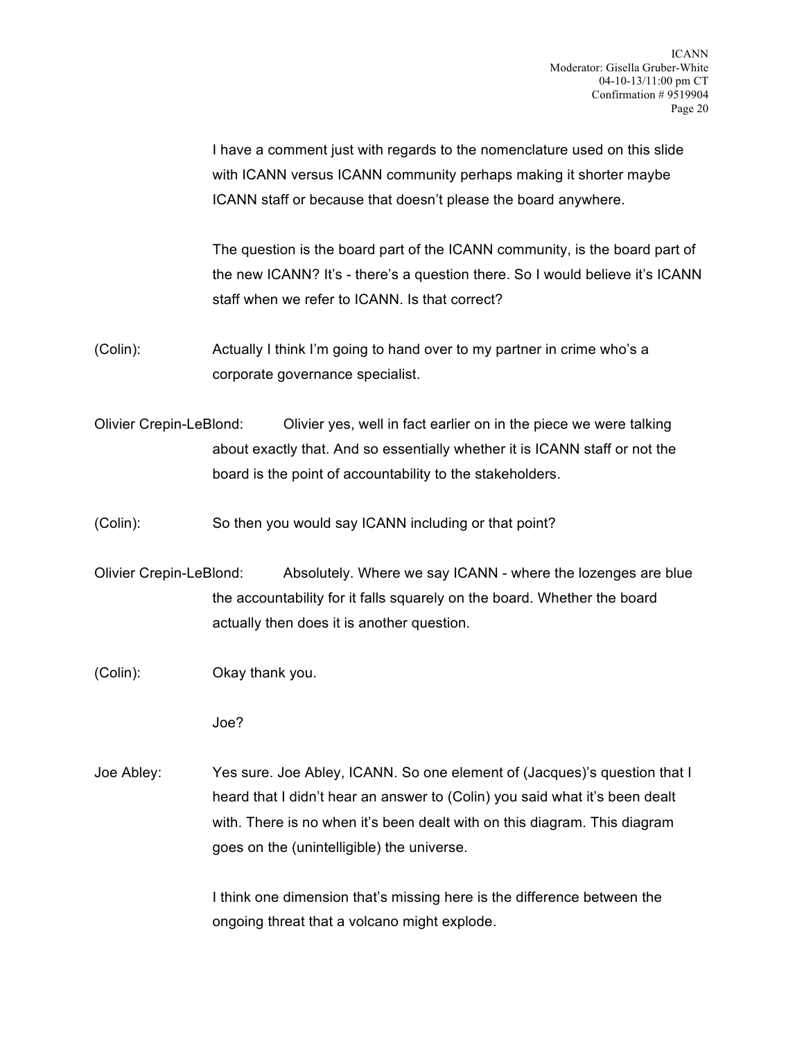I have a comment just with regards to the nomenclature used on this slide with ICANN versus ICANN community perhaps making it shorter maybe ICANN staff or because that doesn't please the board anywhere.

The question is the board part of the ICANN community, is the board part of the new ICANN? It's - there's a question there. So I would believe it's ICANN staff when we refer to ICANN. Is that correct?

- (Colin): Actually I think I'm going to hand over to my partner in crime who's a corporate governance specialist.
- Olivier Crepin-LeBlond: Olivier yes, well in fact earlier on in the piece we were talking about exactly that. And so essentially whether it is ICANN staff or not the board is the point of accountability to the stakeholders.
- (Colin): So then you would say ICANN including or that point?
- Olivier Crepin-LeBlond: Absolutely. Where we say ICANN where the lozenges are blue the accountability for it falls squarely on the board. Whether the board actually then does it is another question.
- (Colin): Okay thank you.

Joe?

Joe Abley: Yes sure. Joe Abley, ICANN. So one element of (Jacques)'s question that I heard that I didn't hear an answer to (Colin) you said what it's been dealt with. There is no when it's been dealt with on this diagram. This diagram goes on the (unintelligible) the universe.

> I think one dimension that's missing here is the difference between the ongoing threat that a volcano might explode.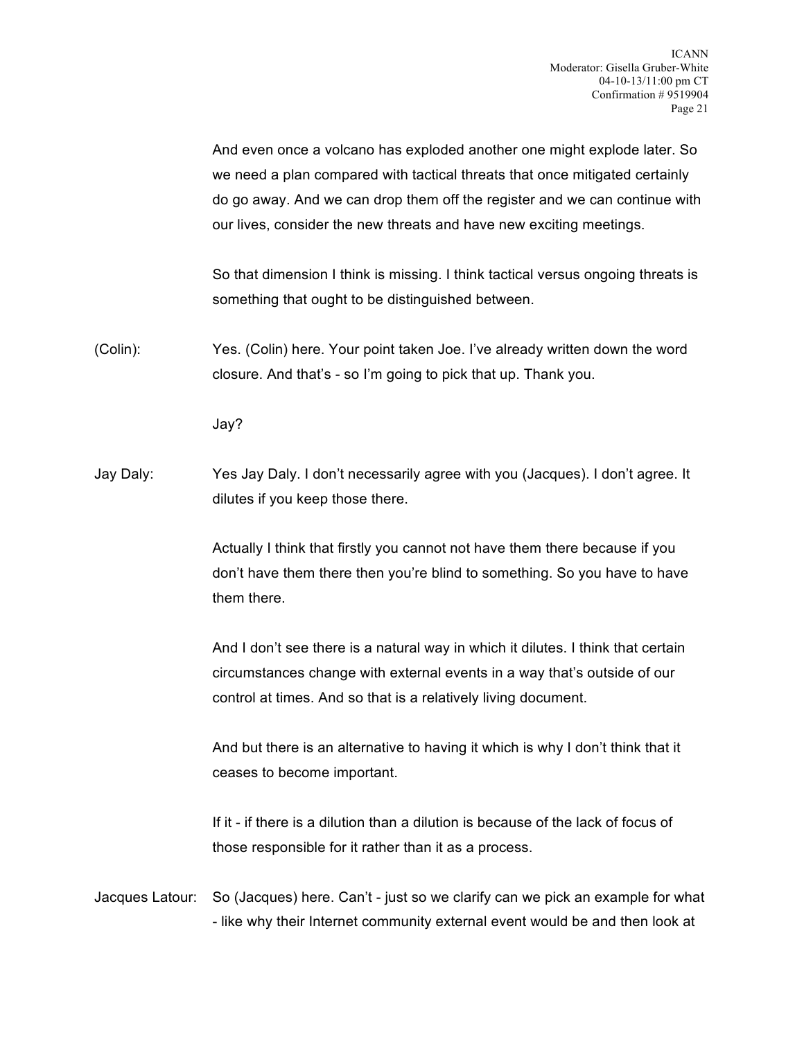And even once a volcano has exploded another one might explode later. So we need a plan compared with tactical threats that once mitigated certainly do go away. And we can drop them off the register and we can continue with our lives, consider the new threats and have new exciting meetings.

So that dimension I think is missing. I think tactical versus ongoing threats is something that ought to be distinguished between.

(Colin): Yes. (Colin) here. Your point taken Joe. I've already written down the word closure. And that's - so I'm going to pick that up. Thank you.

Jay?

Jay Daly: Yes Jay Daly. I don't necessarily agree with you (Jacques). I don't agree. It dilutes if you keep those there.

> Actually I think that firstly you cannot not have them there because if you don't have them there then you're blind to something. So you have to have them there.

> And I don't see there is a natural way in which it dilutes. I think that certain circumstances change with external events in a way that's outside of our control at times. And so that is a relatively living document.

> And but there is an alternative to having it which is why I don't think that it ceases to become important.

If it - if there is a dilution than a dilution is because of the lack of focus of those responsible for it rather than it as a process.

Jacques Latour: So (Jacques) here. Can't - just so we clarify can we pick an example for what - like why their Internet community external event would be and then look at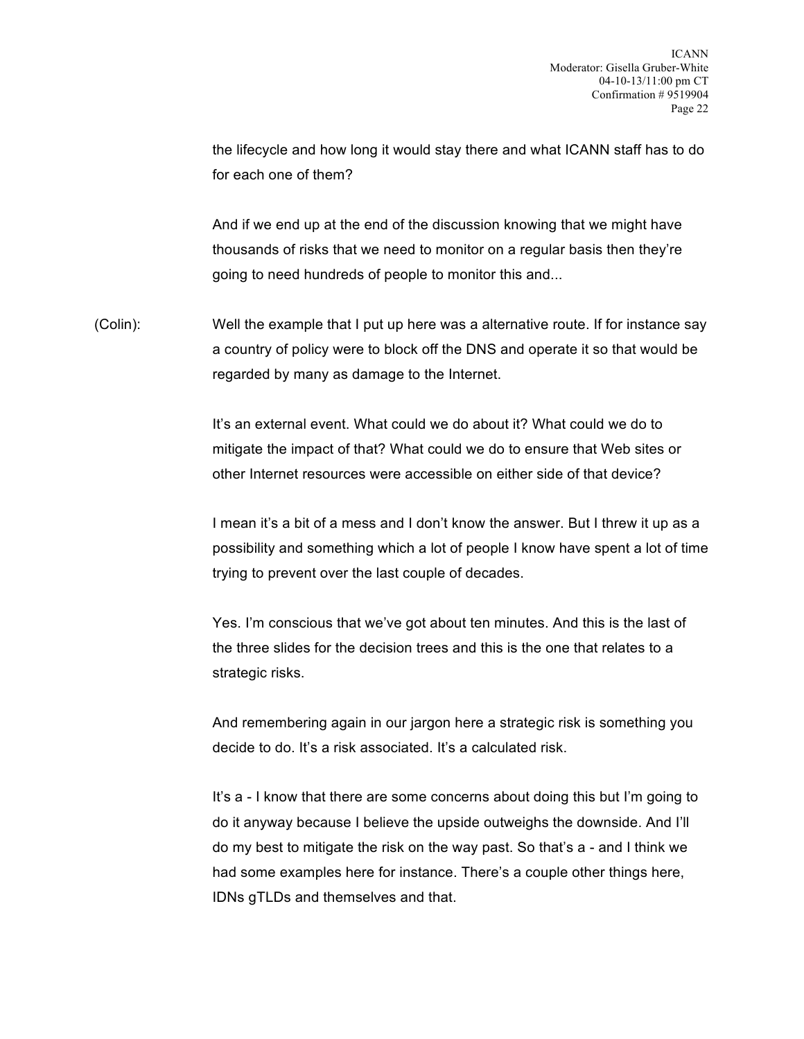the lifecycle and how long it would stay there and what ICANN staff has to do for each one of them?

And if we end up at the end of the discussion knowing that we might have thousands of risks that we need to monitor on a regular basis then they're going to need hundreds of people to monitor this and...

(Colin): Well the example that I put up here was a alternative route. If for instance say a country of policy were to block off the DNS and operate it so that would be regarded by many as damage to the Internet.

> It's an external event. What could we do about it? What could we do to mitigate the impact of that? What could we do to ensure that Web sites or other Internet resources were accessible on either side of that device?

I mean it's a bit of a mess and I don't know the answer. But I threw it up as a possibility and something which a lot of people I know have spent a lot of time trying to prevent over the last couple of decades.

Yes. I'm conscious that we've got about ten minutes. And this is the last of the three slides for the decision trees and this is the one that relates to a strategic risks.

And remembering again in our jargon here a strategic risk is something you decide to do. It's a risk associated. It's a calculated risk.

It's a - I know that there are some concerns about doing this but I'm going to do it anyway because I believe the upside outweighs the downside. And I'll do my best to mitigate the risk on the way past. So that's a - and I think we had some examples here for instance. There's a couple other things here, IDNs gTLDs and themselves and that.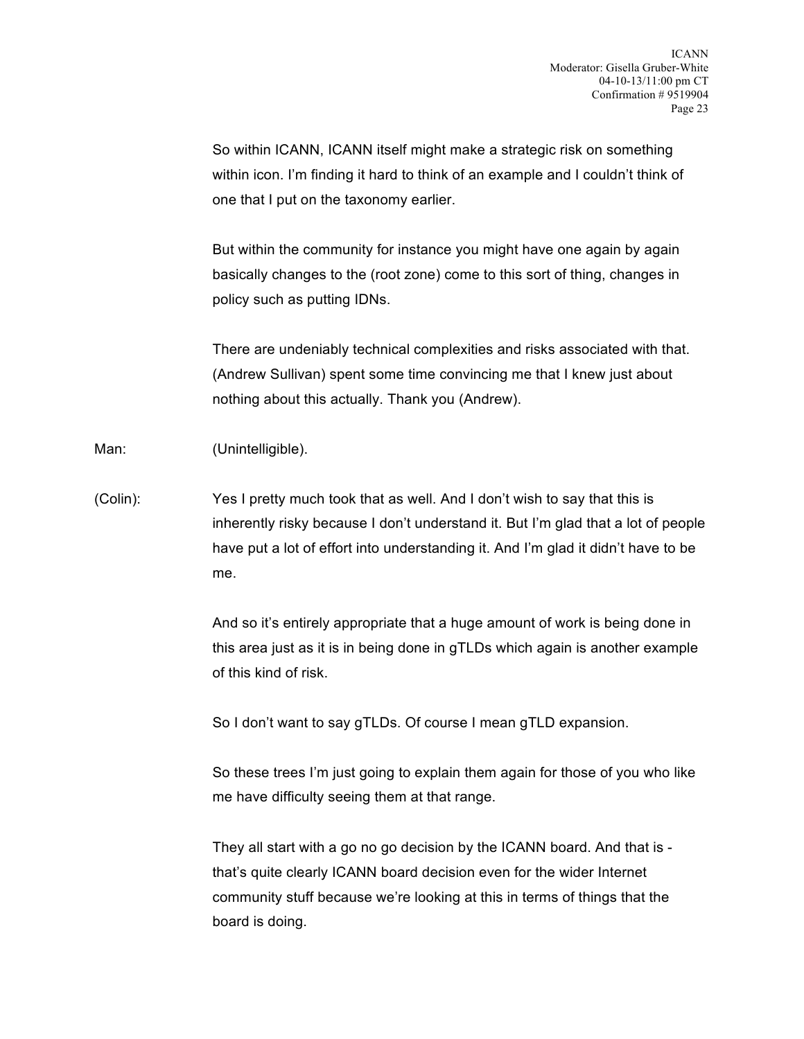So within ICANN, ICANN itself might make a strategic risk on something within icon. I'm finding it hard to think of an example and I couldn't think of one that I put on the taxonomy earlier.

But within the community for instance you might have one again by again basically changes to the (root zone) come to this sort of thing, changes in policy such as putting IDNs.

There are undeniably technical complexities and risks associated with that. (Andrew Sullivan) spent some time convincing me that I knew just about nothing about this actually. Thank you (Andrew).

Man: (Unintelligible).

(Colin): Yes I pretty much took that as well. And I don't wish to say that this is inherently risky because I don't understand it. But I'm glad that a lot of people have put a lot of effort into understanding it. And I'm glad it didn't have to be me.

> And so it's entirely appropriate that a huge amount of work is being done in this area just as it is in being done in gTLDs which again is another example of this kind of risk.

So I don't want to say gTLDs. Of course I mean gTLD expansion.

So these trees I'm just going to explain them again for those of you who like me have difficulty seeing them at that range.

They all start with a go no go decision by the ICANN board. And that is that's quite clearly ICANN board decision even for the wider Internet community stuff because we're looking at this in terms of things that the board is doing.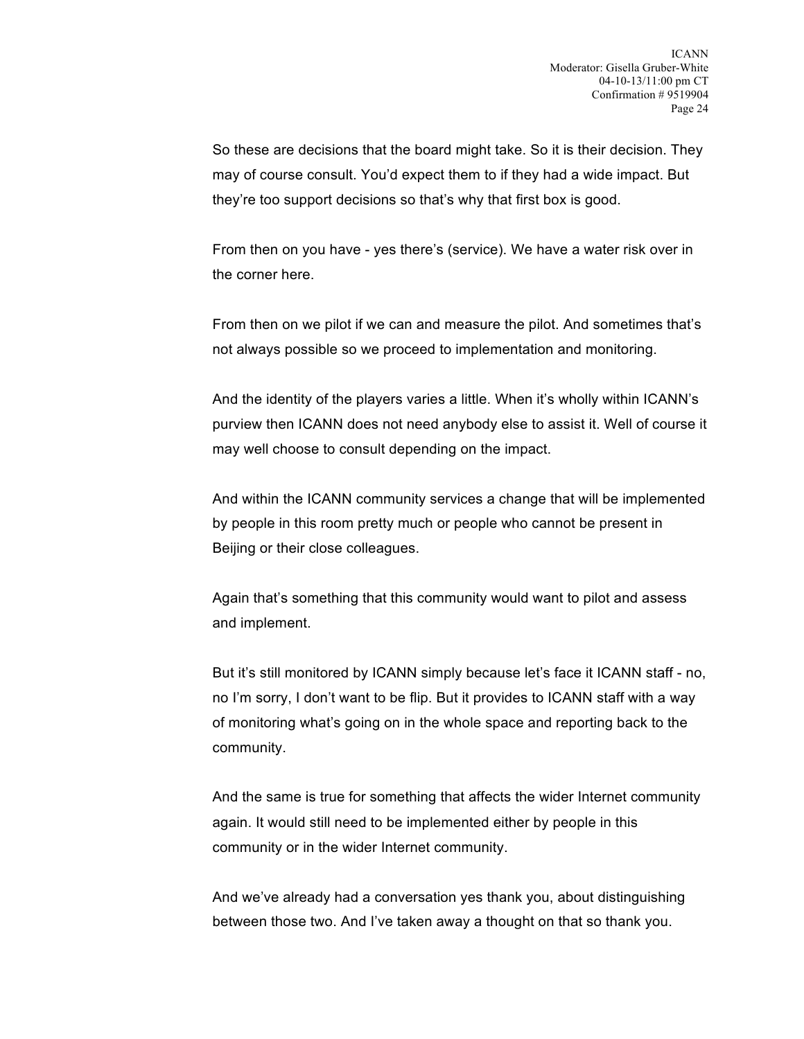So these are decisions that the board might take. So it is their decision. They may of course consult. You'd expect them to if they had a wide impact. But they're too support decisions so that's why that first box is good.

From then on you have - yes there's (service). We have a water risk over in the corner here.

From then on we pilot if we can and measure the pilot. And sometimes that's not always possible so we proceed to implementation and monitoring.

And the identity of the players varies a little. When it's wholly within ICANN's purview then ICANN does not need anybody else to assist it. Well of course it may well choose to consult depending on the impact.

And within the ICANN community services a change that will be implemented by people in this room pretty much or people who cannot be present in Beijing or their close colleagues.

Again that's something that this community would want to pilot and assess and implement.

But it's still monitored by ICANN simply because let's face it ICANN staff - no, no I'm sorry, I don't want to be flip. But it provides to ICANN staff with a way of monitoring what's going on in the whole space and reporting back to the community.

And the same is true for something that affects the wider Internet community again. It would still need to be implemented either by people in this community or in the wider Internet community.

And we've already had a conversation yes thank you, about distinguishing between those two. And I've taken away a thought on that so thank you.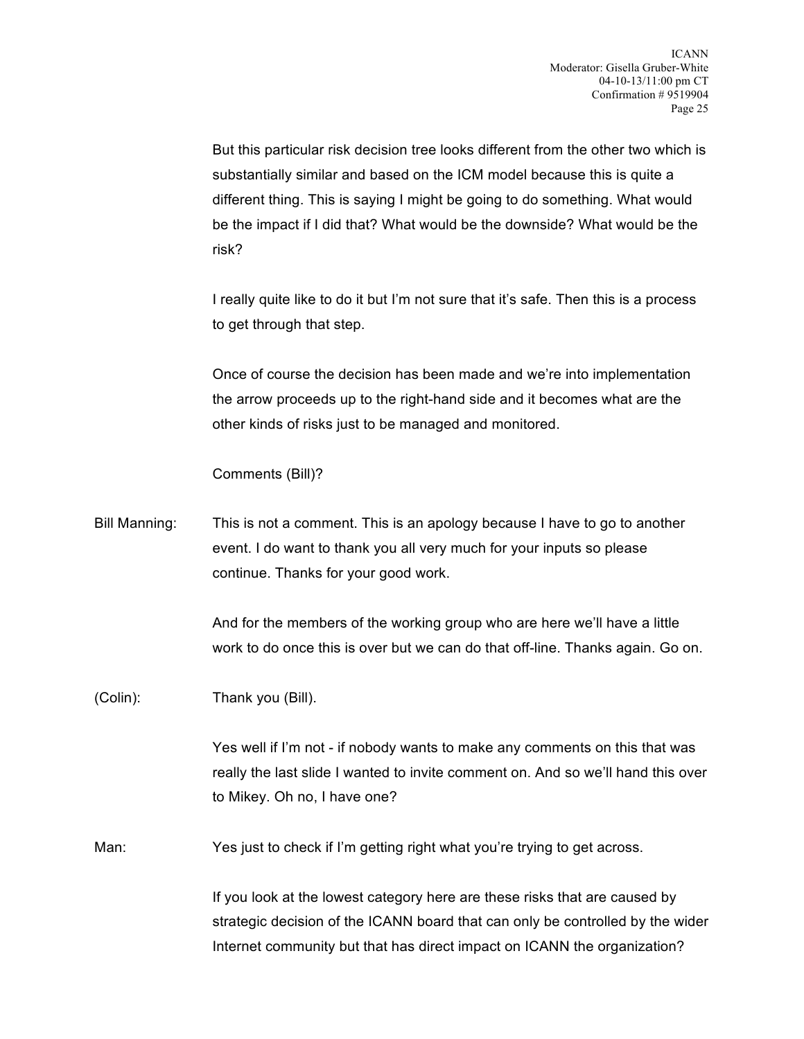But this particular risk decision tree looks different from the other two which is substantially similar and based on the ICM model because this is quite a different thing. This is saying I might be going to do something. What would be the impact if I did that? What would be the downside? What would be the risk?

I really quite like to do it but I'm not sure that it's safe. Then this is a process to get through that step.

Once of course the decision has been made and we're into implementation the arrow proceeds up to the right-hand side and it becomes what are the other kinds of risks just to be managed and monitored.

Comments (Bill)?

Bill Manning: This is not a comment. This is an apology because I have to go to another event. I do want to thank you all very much for your inputs so please continue. Thanks for your good work.

> And for the members of the working group who are here we'll have a little work to do once this is over but we can do that off-line. Thanks again. Go on.

(Colin): Thank you (Bill).

Yes well if I'm not - if nobody wants to make any comments on this that was really the last slide I wanted to invite comment on. And so we'll hand this over to Mikey. Oh no, I have one?

Man: Yes just to check if I'm getting right what you're trying to get across.

If you look at the lowest category here are these risks that are caused by strategic decision of the ICANN board that can only be controlled by the wider Internet community but that has direct impact on ICANN the organization?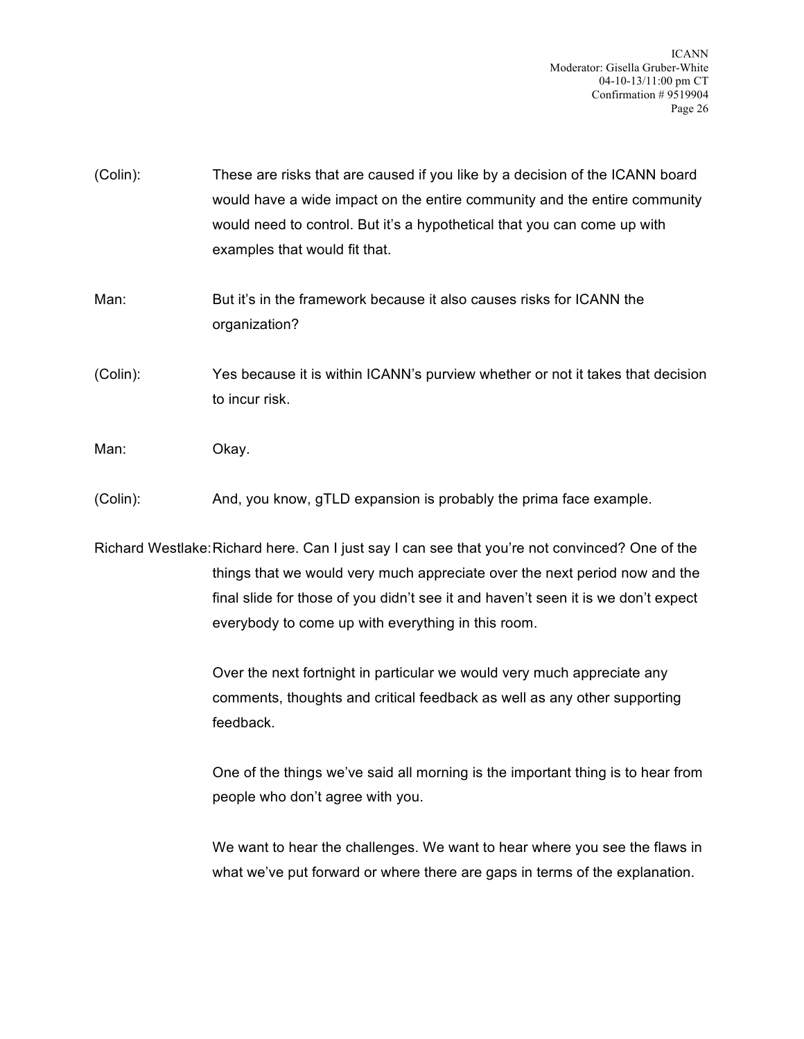- (Colin): These are risks that are caused if you like by a decision of the ICANN board would have a wide impact on the entire community and the entire community would need to control. But it's a hypothetical that you can come up with examples that would fit that.
- Man: But it's in the framework because it also causes risks for ICANN the organization?
- (Colin): Yes because it is within ICANN's purview whether or not it takes that decision to incur risk.
- Man: Okay.
- (Colin): And, you know, gTLD expansion is probably the prima face example.

Richard Westlake:Richard here. Can I just say I can see that you're not convinced? One of the things that we would very much appreciate over the next period now and the final slide for those of you didn't see it and haven't seen it is we don't expect everybody to come up with everything in this room.

> Over the next fortnight in particular we would very much appreciate any comments, thoughts and critical feedback as well as any other supporting feedback.

One of the things we've said all morning is the important thing is to hear from people who don't agree with you.

We want to hear the challenges. We want to hear where you see the flaws in what we've put forward or where there are gaps in terms of the explanation.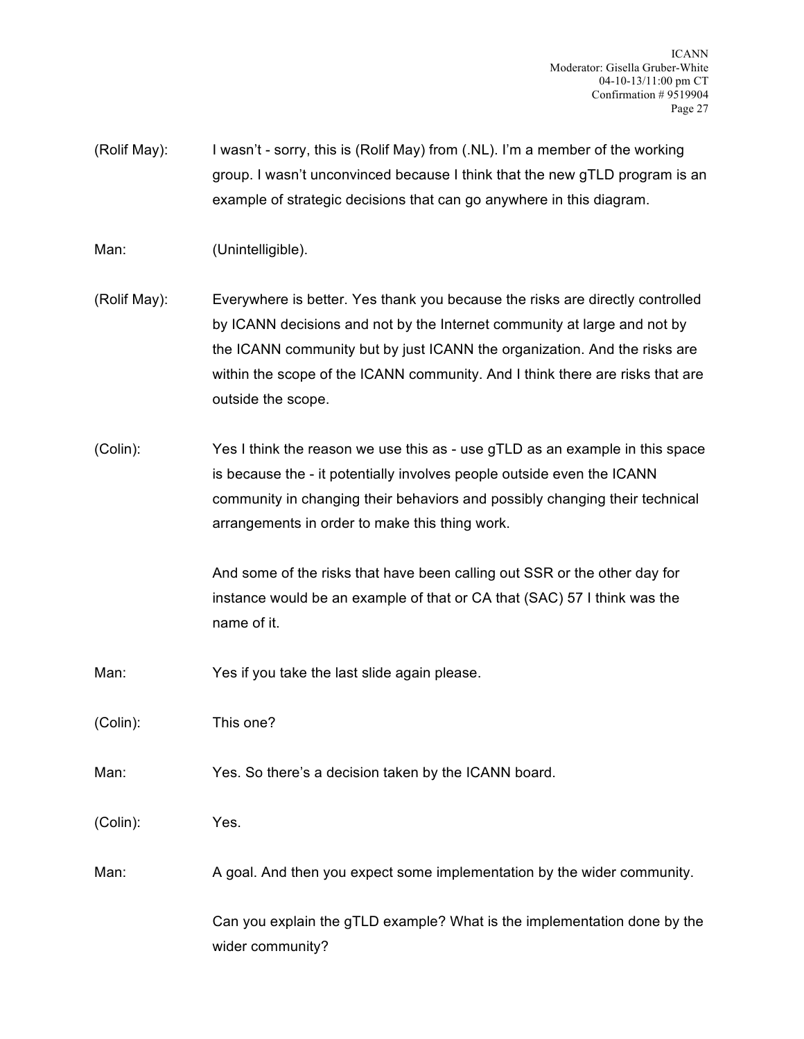(Rolif May): I wasn't - sorry, this is (Rolif May) from (.NL). I'm a member of the working group. I wasn't unconvinced because I think that the new gTLD program is an example of strategic decisions that can go anywhere in this diagram.

Man: (Unintelligible).

- (Rolif May): Everywhere is better. Yes thank you because the risks are directly controlled by ICANN decisions and not by the Internet community at large and not by the ICANN community but by just ICANN the organization. And the risks are within the scope of the ICANN community. And I think there are risks that are outside the scope.
- (Colin): Yes I think the reason we use this as use gTLD as an example in this space is because the - it potentially involves people outside even the ICANN community in changing their behaviors and possibly changing their technical arrangements in order to make this thing work.

And some of the risks that have been calling out SSR or the other day for instance would be an example of that or CA that (SAC) 57 I think was the name of it.

Man: Yes if you take the last slide again please.

(Colin): This one?

Man: Yes. So there's a decision taken by the ICANN board.

(Colin): Yes.

Man: A goal. And then you expect some implementation by the wider community.

Can you explain the gTLD example? What is the implementation done by the wider community?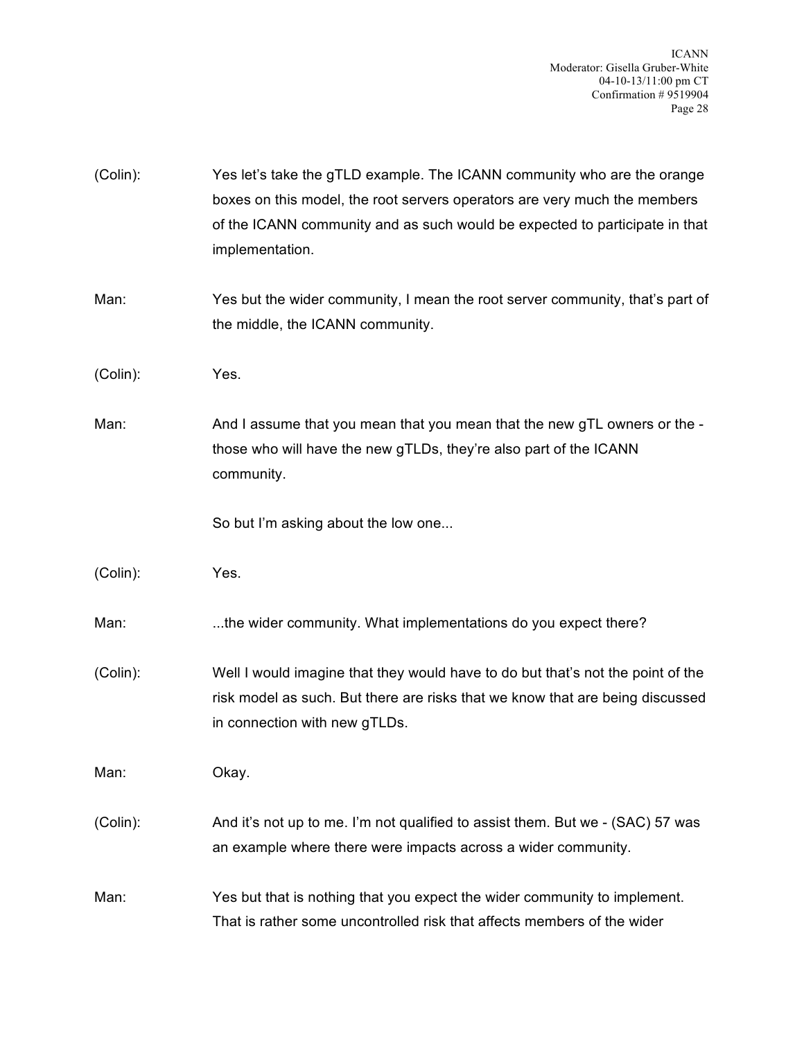| (Colin): | Yes let's take the gTLD example. The ICANN community who are the orange<br>boxes on this model, the root servers operators are very much the members<br>of the ICANN community and as such would be expected to participate in that<br>implementation. |
|----------|--------------------------------------------------------------------------------------------------------------------------------------------------------------------------------------------------------------------------------------------------------|
| Man:     | Yes but the wider community, I mean the root server community, that's part of<br>the middle, the ICANN community.                                                                                                                                      |
| (Colin): | Yes.                                                                                                                                                                                                                                                   |
| Man:     | And I assume that you mean that you mean that the new gTL owners or the -<br>those who will have the new gTLDs, they're also part of the ICANN<br>community.                                                                                           |
|          | So but I'm asking about the low one                                                                                                                                                                                                                    |
| (Colin): | Yes.                                                                                                                                                                                                                                                   |
| Man:     | the wider community. What implementations do you expect there?                                                                                                                                                                                         |
| (Colin): | Well I would imagine that they would have to do but that's not the point of the<br>risk model as such. But there are risks that we know that are being discussed<br>in connection with new gTLDs.                                                      |
| Man:     | Okay.                                                                                                                                                                                                                                                  |
| (Colin): | And it's not up to me. I'm not qualified to assist them. But we - (SAC) 57 was<br>an example where there were impacts across a wider community.                                                                                                        |
| Man:     | Yes but that is nothing that you expect the wider community to implement.<br>That is rather some uncontrolled risk that affects members of the wider                                                                                                   |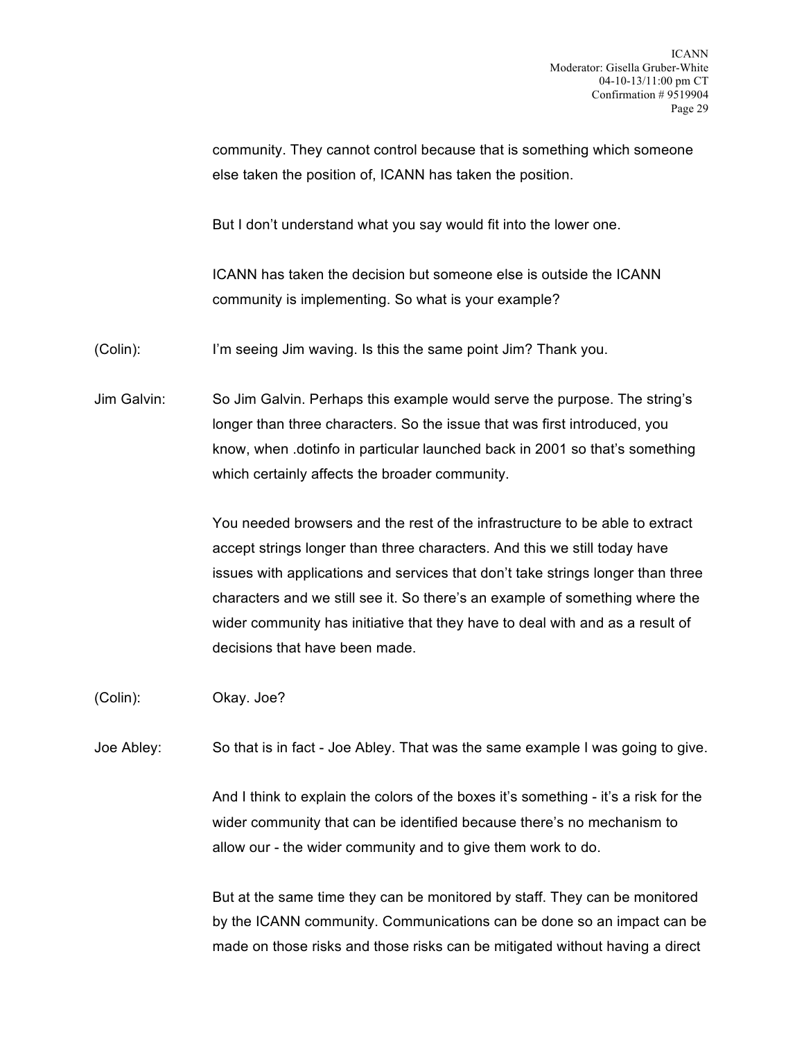community. They cannot control because that is something which someone else taken the position of, ICANN has taken the position.

But I don't understand what you say would fit into the lower one.

ICANN has taken the decision but someone else is outside the ICANN community is implementing. So what is your example?

(Colin): I'm seeing Jim waving. Is this the same point Jim? Thank you.

Jim Galvin: So Jim Galvin. Perhaps this example would serve the purpose. The string's longer than three characters. So the issue that was first introduced, you know, when .dotinfo in particular launched back in 2001 so that's something which certainly affects the broader community.

> You needed browsers and the rest of the infrastructure to be able to extract accept strings longer than three characters. And this we still today have issues with applications and services that don't take strings longer than three characters and we still see it. So there's an example of something where the wider community has initiative that they have to deal with and as a result of decisions that have been made.

(Colin): Okay. Joe?

Joe Abley: So that is in fact - Joe Abley. That was the same example I was going to give.

And I think to explain the colors of the boxes it's something - it's a risk for the wider community that can be identified because there's no mechanism to allow our - the wider community and to give them work to do.

But at the same time they can be monitored by staff. They can be monitored by the ICANN community. Communications can be done so an impact can be made on those risks and those risks can be mitigated without having a direct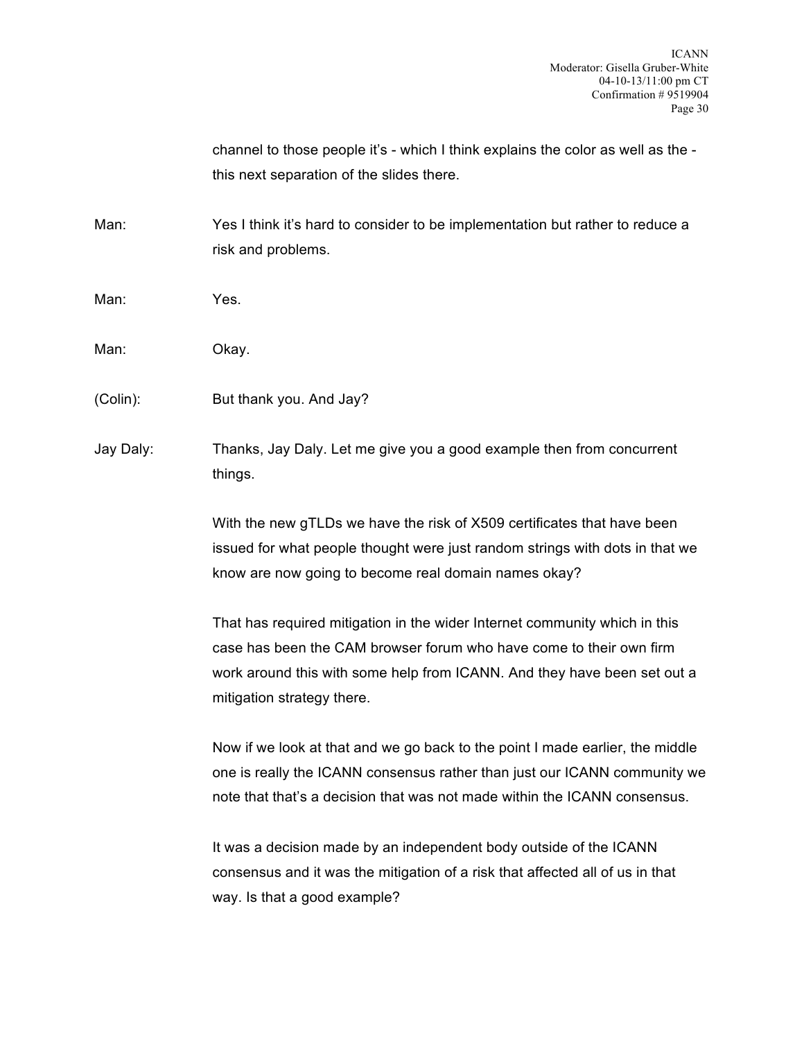channel to those people it's - which I think explains the color as well as the this next separation of the slides there.

Man: Yes I think it's hard to consider to be implementation but rather to reduce a risk and problems.

- Man: Yes.
- Man: Okay.
- (Colin): But thank you. And Jay?

Jay Daly: Thanks, Jay Daly. Let me give you a good example then from concurrent things.

> With the new gTLDs we have the risk of X509 certificates that have been issued for what people thought were just random strings with dots in that we know are now going to become real domain names okay?

> That has required mitigation in the wider Internet community which in this case has been the CAM browser forum who have come to their own firm work around this with some help from ICANN. And they have been set out a mitigation strategy there.

Now if we look at that and we go back to the point I made earlier, the middle one is really the ICANN consensus rather than just our ICANN community we note that that's a decision that was not made within the ICANN consensus.

It was a decision made by an independent body outside of the ICANN consensus and it was the mitigation of a risk that affected all of us in that way. Is that a good example?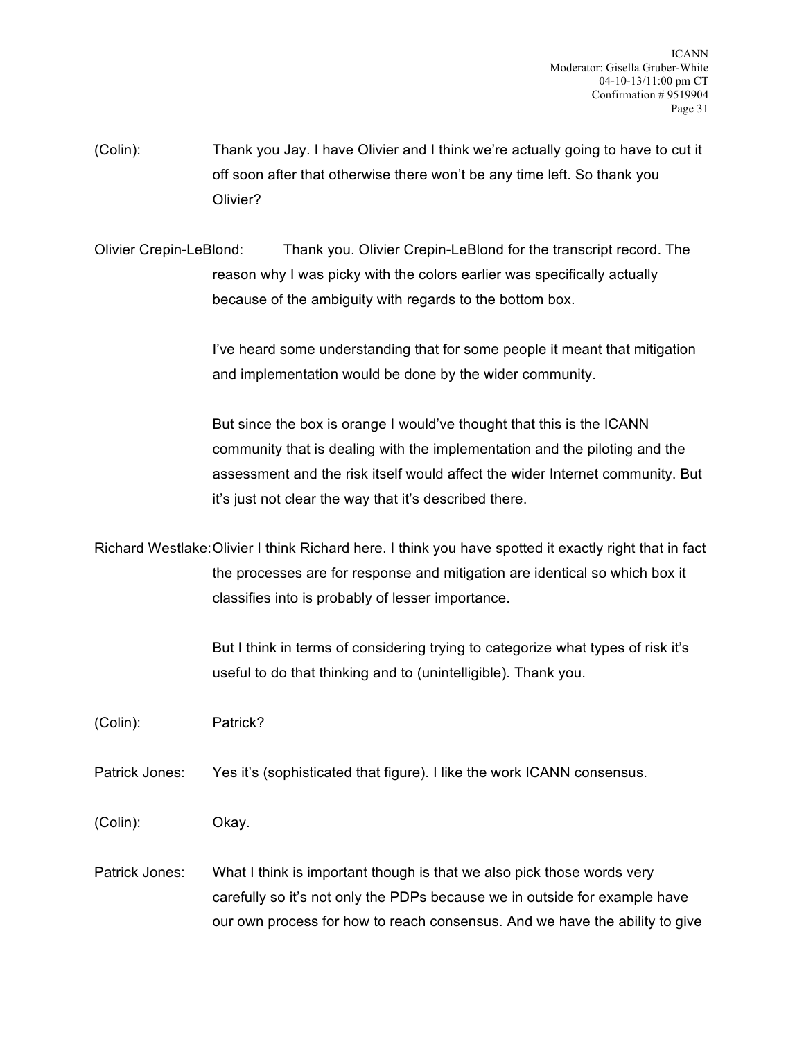(Colin): Thank you Jay. I have Olivier and I think we're actually going to have to cut it off soon after that otherwise there won't be any time left. So thank you Olivier?

Olivier Crepin-LeBlond: Thank you. Olivier Crepin-LeBlond for the transcript record. The reason why I was picky with the colors earlier was specifically actually because of the ambiguity with regards to the bottom box.

> I've heard some understanding that for some people it meant that mitigation and implementation would be done by the wider community.

But since the box is orange I would've thought that this is the ICANN community that is dealing with the implementation and the piloting and the assessment and the risk itself would affect the wider Internet community. But it's just not clear the way that it's described there.

Richard Westlake:Olivier I think Richard here. I think you have spotted it exactly right that in fact the processes are for response and mitigation are identical so which box it classifies into is probably of lesser importance.

> But I think in terms of considering trying to categorize what types of risk it's useful to do that thinking and to (unintelligible). Thank you.

(Colin): Patrick?

Patrick Jones: Yes it's (sophisticated that figure). I like the work ICANN consensus.

(Colin): Okay.

Patrick Jones: What I think is important though is that we also pick those words very carefully so it's not only the PDPs because we in outside for example have our own process for how to reach consensus. And we have the ability to give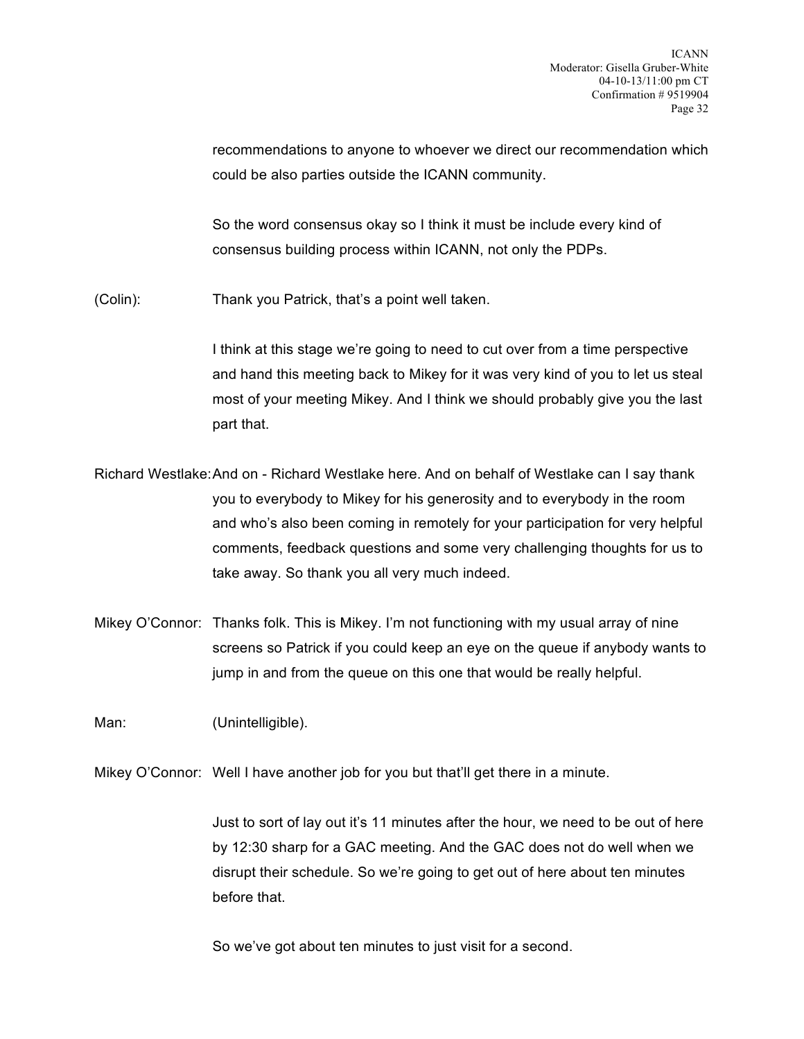recommendations to anyone to whoever we direct our recommendation which could be also parties outside the ICANN community.

So the word consensus okay so I think it must be include every kind of consensus building process within ICANN, not only the PDPs.

(Colin): Thank you Patrick, that's a point well taken.

I think at this stage we're going to need to cut over from a time perspective and hand this meeting back to Mikey for it was very kind of you to let us steal most of your meeting Mikey. And I think we should probably give you the last part that.

Richard Westlake:And on - Richard Westlake here. And on behalf of Westlake can I say thank you to everybody to Mikey for his generosity and to everybody in the room and who's also been coming in remotely for your participation for very helpful comments, feedback questions and some very challenging thoughts for us to take away. So thank you all very much indeed.

Mikey O'Connor: Thanks folk. This is Mikey. I'm not functioning with my usual array of nine screens so Patrick if you could keep an eye on the queue if anybody wants to jump in and from the queue on this one that would be really helpful.

Man: (Unintelligible).

Mikey O'Connor: Well I have another job for you but that'll get there in a minute.

Just to sort of lay out it's 11 minutes after the hour, we need to be out of here by 12:30 sharp for a GAC meeting. And the GAC does not do well when we disrupt their schedule. So we're going to get out of here about ten minutes before that.

So we've got about ten minutes to just visit for a second.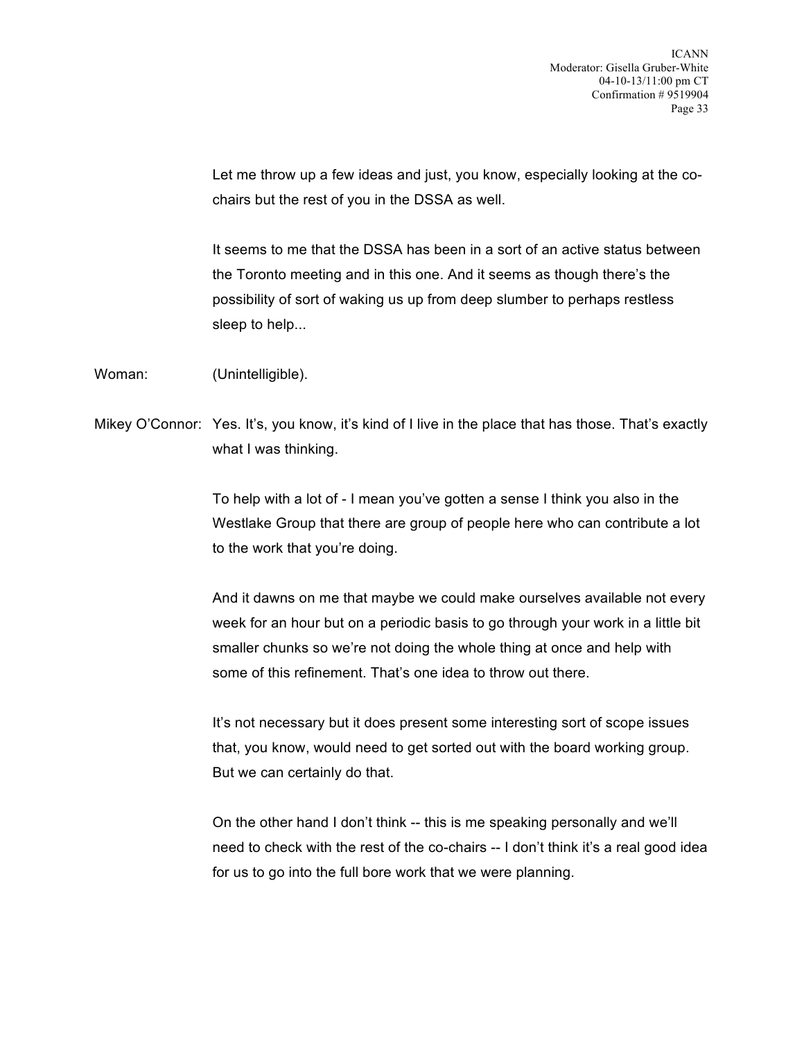Let me throw up a few ideas and just, you know, especially looking at the cochairs but the rest of you in the DSSA as well.

It seems to me that the DSSA has been in a sort of an active status between the Toronto meeting and in this one. And it seems as though there's the possibility of sort of waking us up from deep slumber to perhaps restless sleep to help...

Woman: (Unintelligible).

Mikey O'Connor: Yes. It's, you know, it's kind of I live in the place that has those. That's exactly what I was thinking.

> To help with a lot of - I mean you've gotten a sense I think you also in the Westlake Group that there are group of people here who can contribute a lot to the work that you're doing.

> And it dawns on me that maybe we could make ourselves available not every week for an hour but on a periodic basis to go through your work in a little bit smaller chunks so we're not doing the whole thing at once and help with some of this refinement. That's one idea to throw out there.

It's not necessary but it does present some interesting sort of scope issues that, you know, would need to get sorted out with the board working group. But we can certainly do that.

On the other hand I don't think -- this is me speaking personally and we'll need to check with the rest of the co-chairs -- I don't think it's a real good idea for us to go into the full bore work that we were planning.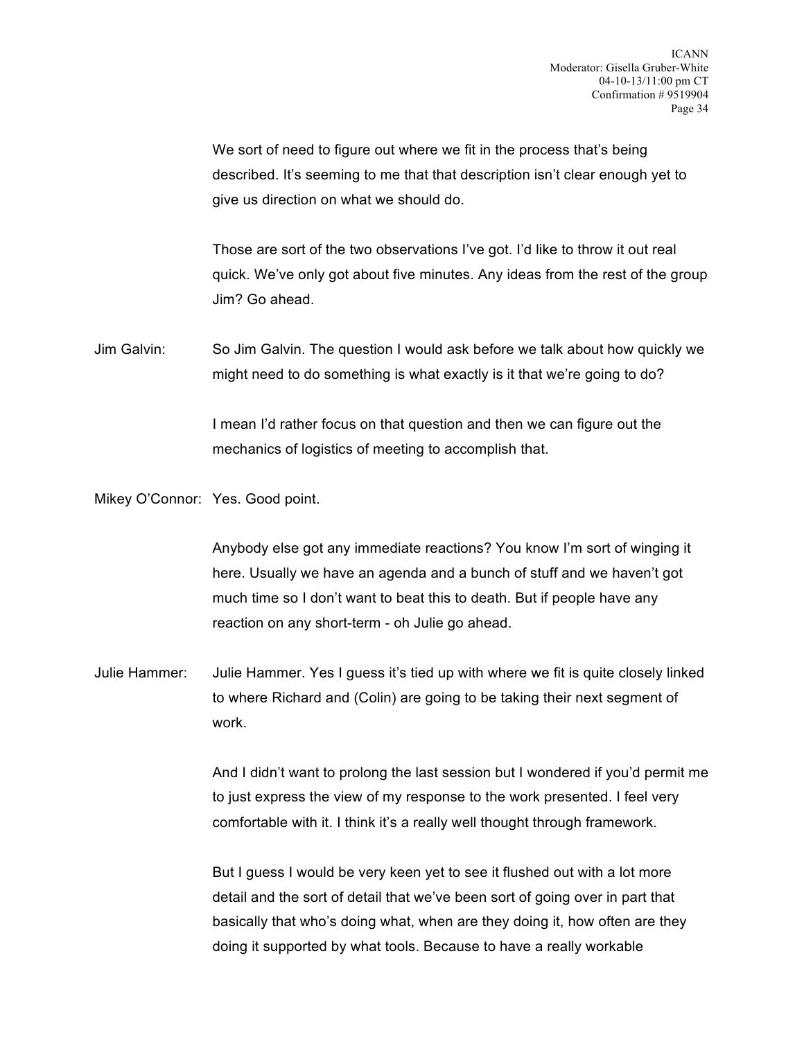We sort of need to figure out where we fit in the process that's being described. It's seeming to me that that description isn't clear enough yet to give us direction on what we should do.

Those are sort of the two observations I've got. I'd like to throw it out real quick. We've only got about five minutes. Any ideas from the rest of the group Jim? Go ahead.

Jim Galvin: So Jim Galvin. The question I would ask before we talk about how quickly we might need to do something is what exactly is it that we're going to do?

> I mean I'd rather focus on that question and then we can figure out the mechanics of logistics of meeting to accomplish that.

Mikey O'Connor: Yes. Good point.

Anybody else got any immediate reactions? You know I'm sort of winging it here. Usually we have an agenda and a bunch of stuff and we haven't got much time so I don't want to beat this to death. But if people have any reaction on any short-term - oh Julie go ahead.

Julie Hammer: Julie Hammer. Yes I guess it's tied up with where we fit is quite closely linked to where Richard and (Colin) are going to be taking their next segment of work.

> And I didn't want to prolong the last session but I wondered if you'd permit me to just express the view of my response to the work presented. I feel very comfortable with it. I think it's a really well thought through framework.

But I guess I would be very keen yet to see it flushed out with a lot more detail and the sort of detail that we've been sort of going over in part that basically that who's doing what, when are they doing it, how often are they doing it supported by what tools. Because to have a really workable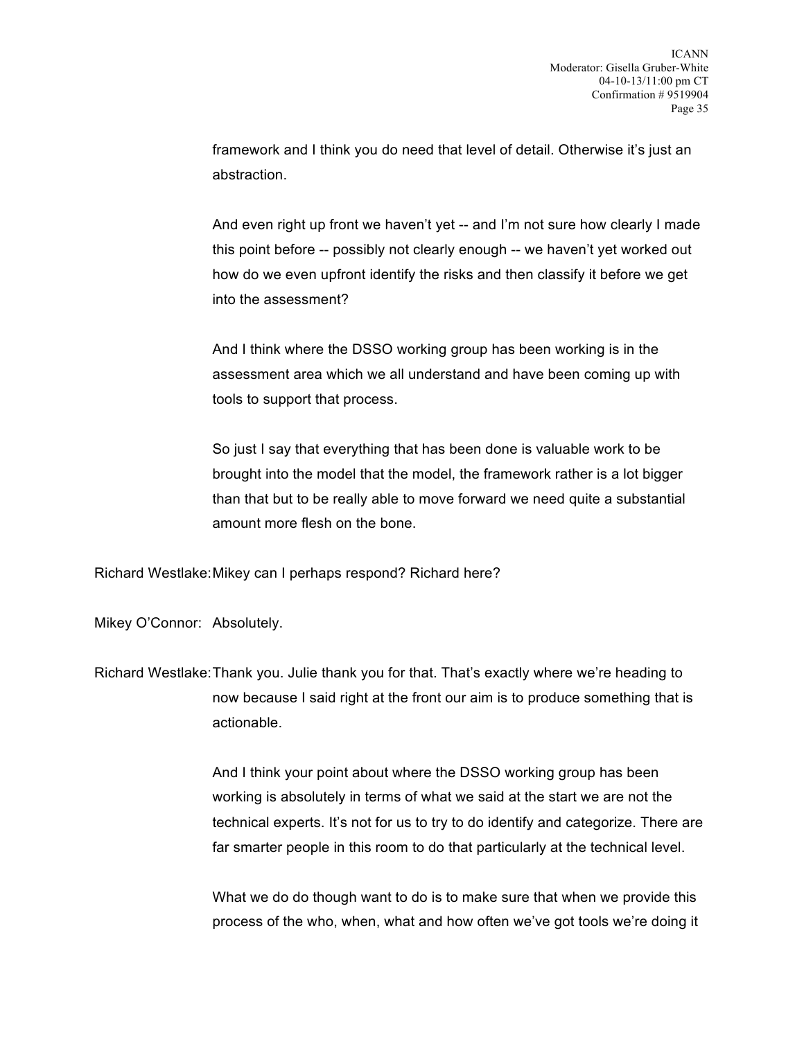framework and I think you do need that level of detail. Otherwise it's just an abstraction.

And even right up front we haven't yet -- and I'm not sure how clearly I made this point before -- possibly not clearly enough -- we haven't yet worked out how do we even upfront identify the risks and then classify it before we get into the assessment?

And I think where the DSSO working group has been working is in the assessment area which we all understand and have been coming up with tools to support that process.

So just I say that everything that has been done is valuable work to be brought into the model that the model, the framework rather is a lot bigger than that but to be really able to move forward we need quite a substantial amount more flesh on the bone.

Richard Westlake:Mikey can I perhaps respond? Richard here?

Mikey O'Connor: Absolutely.

Richard Westlake:Thank you. Julie thank you for that. That's exactly where we're heading to now because I said right at the front our aim is to produce something that is actionable.

> And I think your point about where the DSSO working group has been working is absolutely in terms of what we said at the start we are not the technical experts. It's not for us to try to do identify and categorize. There are far smarter people in this room to do that particularly at the technical level.

> What we do do though want to do is to make sure that when we provide this process of the who, when, what and how often we've got tools we're doing it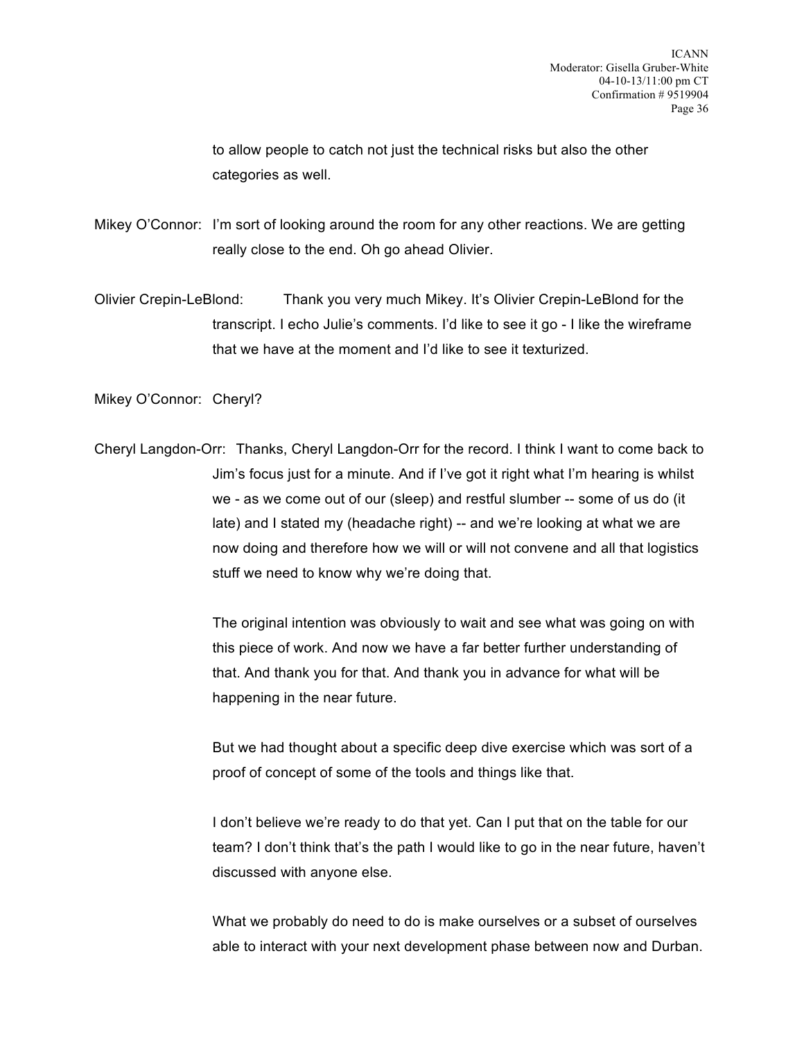to allow people to catch not just the technical risks but also the other categories as well.

Mikey O'Connor: I'm sort of looking around the room for any other reactions. We are getting really close to the end. Oh go ahead Olivier.

Olivier Crepin-LeBlond: Thank you very much Mikey. It's Olivier Crepin-LeBlond for the transcript. I echo Julie's comments. I'd like to see it go - I like the wireframe that we have at the moment and I'd like to see it texturized.

Mikey O'Connor: Cheryl?

Cheryl Langdon-Orr: Thanks, Cheryl Langdon-Orr for the record. I think I want to come back to Jim's focus just for a minute. And if I've got it right what I'm hearing is whilst we - as we come out of our (sleep) and restful slumber -- some of us do (it late) and I stated my (headache right) -- and we're looking at what we are now doing and therefore how we will or will not convene and all that logistics stuff we need to know why we're doing that.

> The original intention was obviously to wait and see what was going on with this piece of work. And now we have a far better further understanding of that. And thank you for that. And thank you in advance for what will be happening in the near future.

> But we had thought about a specific deep dive exercise which was sort of a proof of concept of some of the tools and things like that.

I don't believe we're ready to do that yet. Can I put that on the table for our team? I don't think that's the path I would like to go in the near future, haven't discussed with anyone else.

What we probably do need to do is make ourselves or a subset of ourselves able to interact with your next development phase between now and Durban.